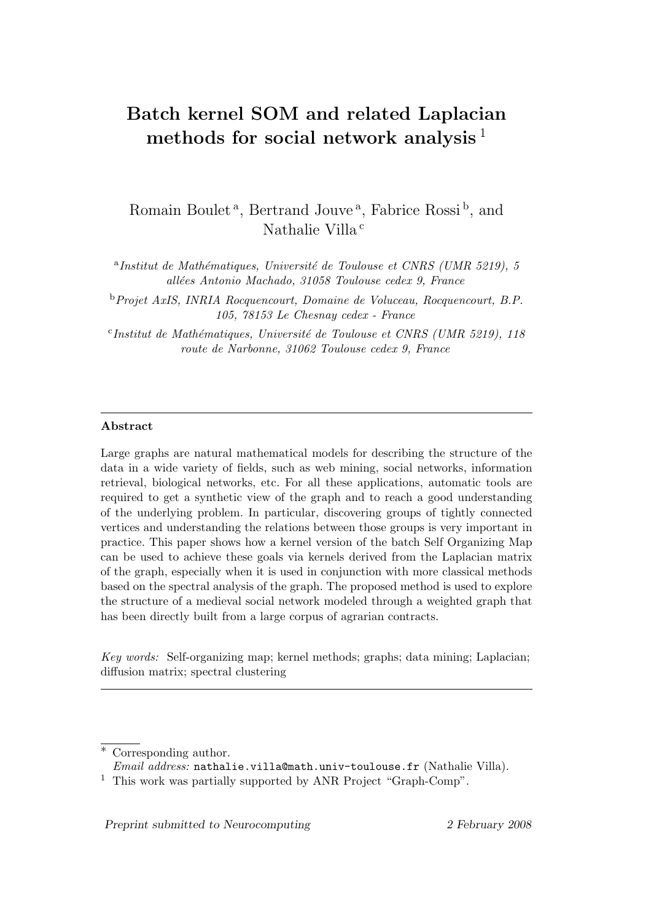# Batch kernel SOM and related Laplacian methods for social network analysis  $<sup>1</sup>$ </sup>

Romain Boulet<sup>a</sup>, Bertrand Jouve<sup>a</sup>, Fabrice Rossi<sup>b</sup>, and Nathalie Villa <sup>c</sup>

<sup>a</sup>Institut de Mathématiques, Université de Toulouse et CNRS (UMR 5219), 5 allées Antonio Machado, 31058 Toulouse cedex 9, France

<sup>b</sup>Projet AxIS, INRIA Rocquencourt, Domaine de Voluceau, Rocquencourt, B.P. 105, 78153 Le Chesnay cedex - France

<sup>c</sup>Institut de Mathématiques, Université de Toulouse et CNRS (UMR 5219), 118 route de Narbonne, 31062 Toulouse cedex 9, France

## Abstract

Large graphs are natural mathematical models for describing the structure of the data in a wide variety of fields, such as web mining, social networks, information retrieval, biological networks, etc. For all these applications, automatic tools are required to get a synthetic view of the graph and to reach a good understanding of the underlying problem. In particular, discovering groups of tightly connected vertices and understanding the relations between those groups is very important in practice. This paper shows how a kernel version of the batch Self Organizing Map can be used to achieve these goals via kernels derived from the Laplacian matrix of the graph, especially when it is used in conjunction with more classical methods based on the spectral analysis of the graph. The proposed method is used to explore the structure of a medieval social network modeled through a weighted graph that has been directly built from a large corpus of agrarian contracts.

Key words: Self-organizing map; kernel methods; graphs; data mining; Laplacian; diffusion matrix; spectral clustering

Preprint submitted to Neurocomputing 2 February 2008

<sup>∗</sup> Corresponding author.  $Email \ address: \mathbf{mathLie}.\mathbf{villa@math.\mathit{univ-toulouse.fr}}$  (Nathalie Villa).

<sup>&</sup>lt;sup>1</sup> This work was partially supported by ANR Project "Graph-Comp".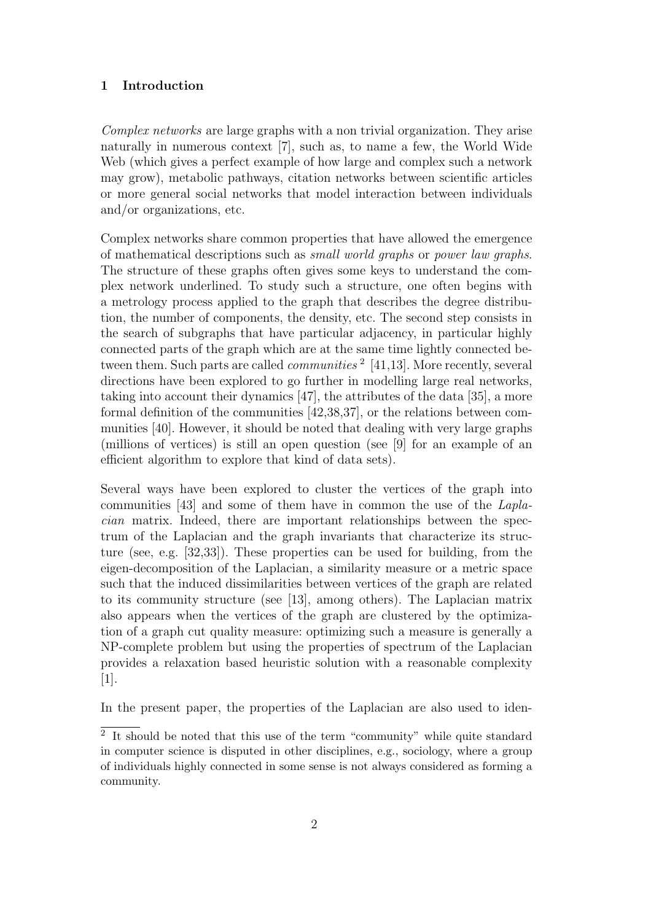## 1 Introduction

Complex networks are large graphs with a non trivial organization. They arise naturally in numerous context [7], such as, to name a few, the World Wide Web (which gives a perfect example of how large and complex such a network may grow), metabolic pathways, citation networks between scientific articles or more general social networks that model interaction between individuals and/or organizations, etc.

Complex networks share common properties that have allowed the emergence of mathematical descriptions such as small world graphs or power law graphs. The structure of these graphs often gives some keys to understand the complex network underlined. To study such a structure, one often begins with a metrology process applied to the graph that describes the degree distribution, the number of components, the density, etc. The second step consists in the search of subgraphs that have particular adjacency, in particular highly connected parts of the graph which are at the same time lightly connected between them. Such parts are called *communities*  $2 \, [41,13]$ . More recently, several directions have been explored to go further in modelling large real networks, taking into account their dynamics [47], the attributes of the data [35], a more formal definition of the communities [42,38,37], or the relations between communities [40]. However, it should be noted that dealing with very large graphs (millions of vertices) is still an open question (see [9] for an example of an efficient algorithm to explore that kind of data sets).

Several ways have been explored to cluster the vertices of the graph into communities [43] and some of them have in common the use of the Laplacian matrix. Indeed, there are important relationships between the spectrum of the Laplacian and the graph invariants that characterize its structure (see, e.g. [32,33]). These properties can be used for building, from the eigen-decomposition of the Laplacian, a similarity measure or a metric space such that the induced dissimilarities between vertices of the graph are related to its community structure (see [13], among others). The Laplacian matrix also appears when the vertices of the graph are clustered by the optimization of a graph cut quality measure: optimizing such a measure is generally a NP-complete problem but using the properties of spectrum of the Laplacian provides a relaxation based heuristic solution with a reasonable complexity [1].

In the present paper, the properties of the Laplacian are also used to iden-

<sup>&</sup>lt;sup>2</sup> It should be noted that this use of the term "community" while quite standard in computer science is disputed in other disciplines, e.g., sociology, where a group of individuals highly connected in some sense is not always considered as forming a community.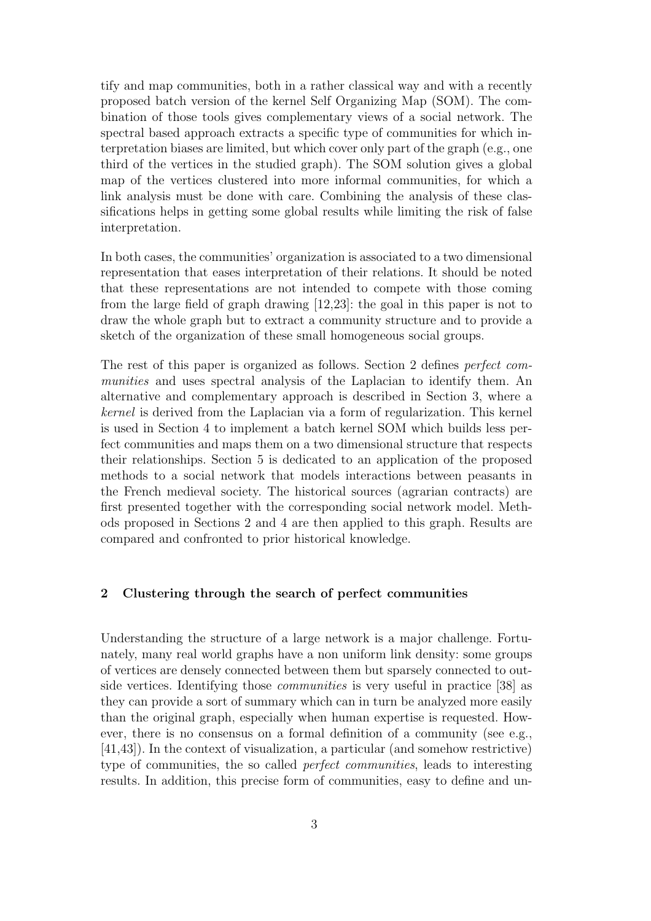tify and map communities, both in a rather classical way and with a recently proposed batch version of the kernel Self Organizing Map (SOM). The combination of those tools gives complementary views of a social network. The spectral based approach extracts a specific type of communities for which interpretation biases are limited, but which cover only part of the graph (e.g., one third of the vertices in the studied graph). The SOM solution gives a global map of the vertices clustered into more informal communities, for which a link analysis must be done with care. Combining the analysis of these classifications helps in getting some global results while limiting the risk of false interpretation.

In both cases, the communities' organization is associated to a two dimensional representation that eases interpretation of their relations. It should be noted that these representations are not intended to compete with those coming from the large field of graph drawing [12,23]: the goal in this paper is not to draw the whole graph but to extract a community structure and to provide a sketch of the organization of these small homogeneous social groups.

The rest of this paper is organized as follows. Section 2 defines perfect communities and uses spectral analysis of the Laplacian to identify them. An alternative and complementary approach is described in Section 3, where a kernel is derived from the Laplacian via a form of regularization. This kernel is used in Section 4 to implement a batch kernel SOM which builds less perfect communities and maps them on a two dimensional structure that respects their relationships. Section 5 is dedicated to an application of the proposed methods to a social network that models interactions between peasants in the French medieval society. The historical sources (agrarian contracts) are first presented together with the corresponding social network model. Methods proposed in Sections 2 and 4 are then applied to this graph. Results are compared and confronted to prior historical knowledge.

# 2 Clustering through the search of perfect communities

Understanding the structure of a large network is a major challenge. Fortunately, many real world graphs have a non uniform link density: some groups of vertices are densely connected between them but sparsely connected to outside vertices. Identifying those *communities* is very useful in practice [38] as they can provide a sort of summary which can in turn be analyzed more easily than the original graph, especially when human expertise is requested. However, there is no consensus on a formal definition of a community (see e.g., [41,43]). In the context of visualization, a particular (and somehow restrictive) type of communities, the so called perfect communities, leads to interesting results. In addition, this precise form of communities, easy to define and un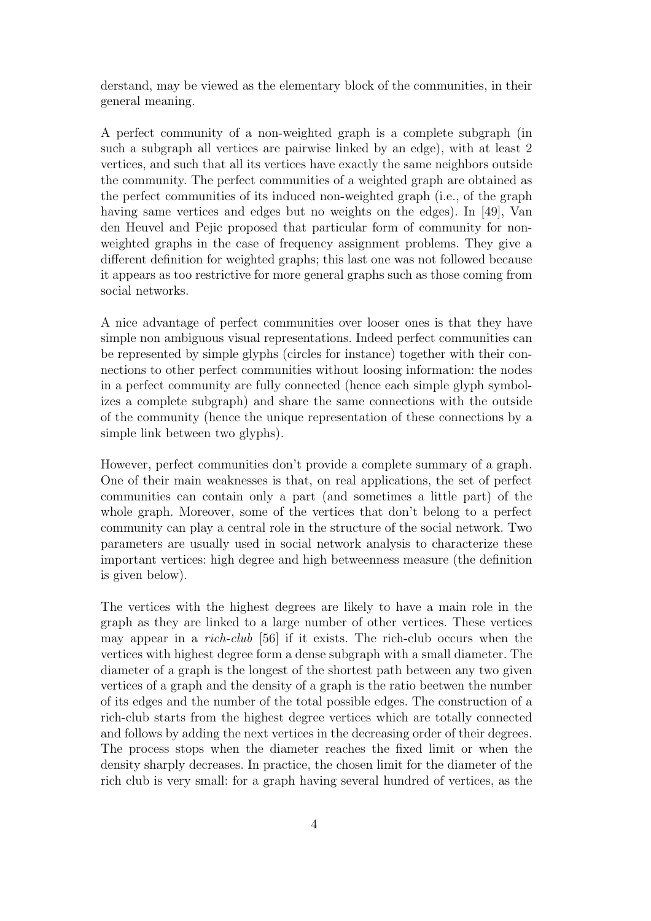derstand, may be viewed as the elementary block of the communities, in their general meaning.

A perfect community of a non-weighted graph is a complete subgraph (in such a subgraph all vertices are pairwise linked by an edge), with at least 2 vertices, and such that all its vertices have exactly the same neighbors outside the community. The perfect communities of a weighted graph are obtained as the perfect communities of its induced non-weighted graph (i.e., of the graph having same vertices and edges but no weights on the edges). In [49], Van den Heuvel and Pejic proposed that particular form of community for nonweighted graphs in the case of frequency assignment problems. They give a different definition for weighted graphs; this last one was not followed because it appears as too restrictive for more general graphs such as those coming from social networks.

A nice advantage of perfect communities over looser ones is that they have simple non ambiguous visual representations. Indeed perfect communities can be represented by simple glyphs (circles for instance) together with their connections to other perfect communities without loosing information: the nodes in a perfect community are fully connected (hence each simple glyph symbolizes a complete subgraph) and share the same connections with the outside of the community (hence the unique representation of these connections by a simple link between two glyphs).

However, perfect communities don't provide a complete summary of a graph. One of their main weaknesses is that, on real applications, the set of perfect communities can contain only a part (and sometimes a little part) of the whole graph. Moreover, some of the vertices that don't belong to a perfect community can play a central role in the structure of the social network. Two parameters are usually used in social network analysis to characterize these important vertices: high degree and high betweenness measure (the definition is given below).

The vertices with the highest degrees are likely to have a main role in the graph as they are linked to a large number of other vertices. These vertices may appear in a rich-club [56] if it exists. The rich-club occurs when the vertices with highest degree form a dense subgraph with a small diameter. The diameter of a graph is the longest of the shortest path between any two given vertices of a graph and the density of a graph is the ratio beetwen the number of its edges and the number of the total possible edges. The construction of a rich-club starts from the highest degree vertices which are totally connected and follows by adding the next vertices in the decreasing order of their degrees. The process stops when the diameter reaches the fixed limit or when the density sharply decreases. In practice, the chosen limit for the diameter of the rich club is very small: for a graph having several hundred of vertices, as the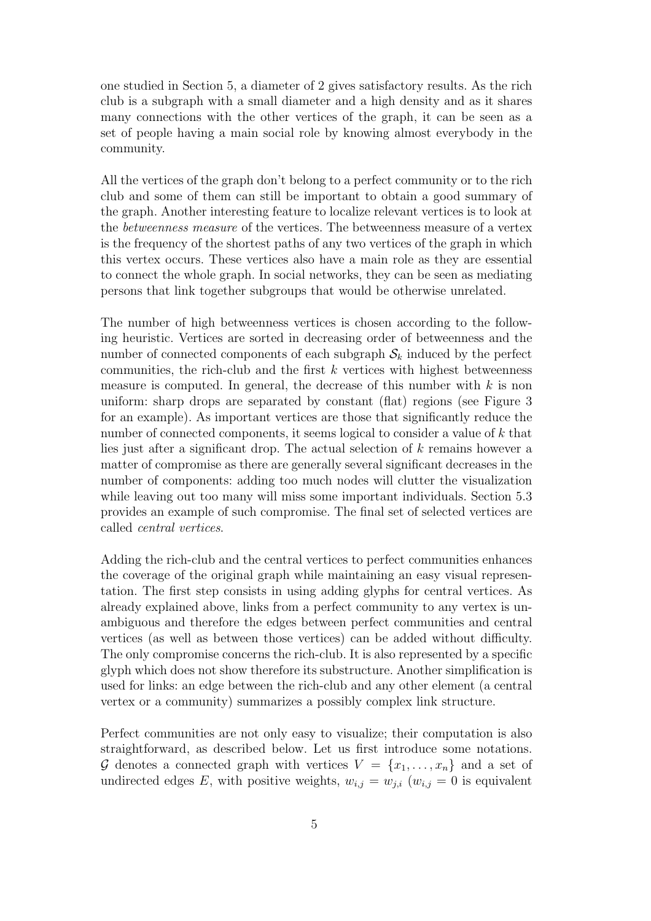one studied in Section 5, a diameter of 2 gives satisfactory results. As the rich club is a subgraph with a small diameter and a high density and as it shares many connections with the other vertices of the graph, it can be seen as a set of people having a main social role by knowing almost everybody in the community.

All the vertices of the graph don't belong to a perfect community or to the rich club and some of them can still be important to obtain a good summary of the graph. Another interesting feature to localize relevant vertices is to look at the betweenness measure of the vertices. The betweenness measure of a vertex is the frequency of the shortest paths of any two vertices of the graph in which this vertex occurs. These vertices also have a main role as they are essential to connect the whole graph. In social networks, they can be seen as mediating persons that link together subgroups that would be otherwise unrelated.

The number of high betweenness vertices is chosen according to the following heuristic. Vertices are sorted in decreasing order of betweenness and the number of connected components of each subgraph  $S_k$  induced by the perfect communities, the rich-club and the first  $k$  vertices with highest betweenness measure is computed. In general, the decrease of this number with  $k$  is non uniform: sharp drops are separated by constant (flat) regions (see Figure 3 for an example). As important vertices are those that significantly reduce the number of connected components, it seems logical to consider a value of k that lies just after a significant drop. The actual selection of  $k$  remains however a matter of compromise as there are generally several significant decreases in the number of components: adding too much nodes will clutter the visualization while leaving out too many will miss some important individuals. Section 5.3 provides an example of such compromise. The final set of selected vertices are called central vertices.

Adding the rich-club and the central vertices to perfect communities enhances the coverage of the original graph while maintaining an easy visual representation. The first step consists in using adding glyphs for central vertices. As already explained above, links from a perfect community to any vertex is unambiguous and therefore the edges between perfect communities and central vertices (as well as between those vertices) can be added without difficulty. The only compromise concerns the rich-club. It is also represented by a specific glyph which does not show therefore its substructure. Another simplification is used for links: an edge between the rich-club and any other element (a central vertex or a community) summarizes a possibly complex link structure.

Perfect communities are not only easy to visualize; their computation is also straightforward, as described below. Let us first introduce some notations. G denotes a connected graph with vertices  $V = \{x_1, \ldots, x_n\}$  and a set of undirected edges E, with positive weights,  $w_{i,j} = w_{j,i}$  ( $w_{i,j} = 0$  is equivalent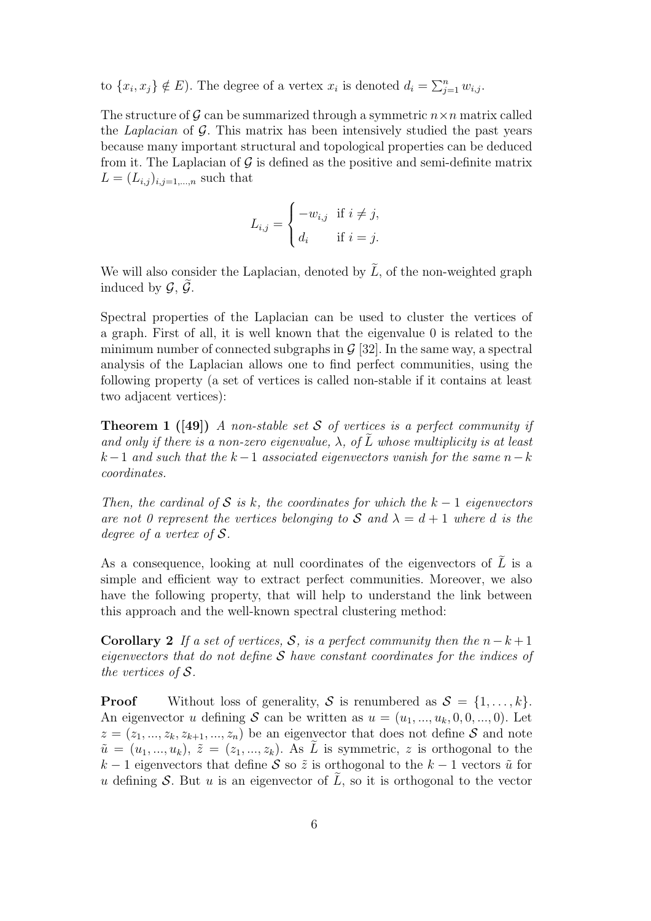to  $\{x_i, x_j\} \notin E$ ). The degree of a vertex  $x_i$  is denoted  $d_i = \sum_{j=1}^n w_{i,j}$ .

The structure of  $G$  can be summarized through a symmetric  $n \times n$  matrix called the Laplacian of  $\mathcal G$ . This matrix has been intensively studied the past years because many important structural and topological properties can be deduced from it. The Laplacian of  $\mathcal G$  is defined as the positive and semi-definite matrix  $L = (L_{i,j})_{i,j=1,\dots,n}$  such that

$$
L_{i,j} = \begin{cases} -w_{i,j} & \text{if } i \neq j, \\ d_i & \text{if } i = j. \end{cases}
$$

We will also consider the Laplacian, denoted by  $\tilde{L}$ , of the non-weighted graph induced by  $\mathcal{G}, \mathcal{G}.$ 

Spectral properties of the Laplacian can be used to cluster the vertices of a graph. First of all, it is well known that the eigenvalue 0 is related to the minimum number of connected subgraphs in  $\mathcal{G}$  [32]. In the same way, a spectral analysis of the Laplacian allows one to find perfect communities, using the following property (a set of vertices is called non-stable if it contains at least two adjacent vertices):

**Theorem 1** ([49]) A non-stable set S of vertices is a perfect community if and only if there is a non-zero eigenvalue,  $\lambda$ , of L whose multiplicity is at least  $k-1$  and such that the  $k-1$  associated eigenvectors vanish for the same  $n-k$ coordinates.

Then, the cardinal of S is k, the coordinates for which the  $k-1$  eigenvectors are not 0 represent the vertices belonging to S and  $\lambda = d + 1$  where d is the degree of a vertex of S.

As a consequence, looking at null coordinates of the eigenvectors of  $\tilde{L}$  is a simple and efficient way to extract perfect communities. Moreover, we also have the following property, that will help to understand the link between this approach and the well-known spectral clustering method:

**Corollary 2** If a set of vertices, S, is a perfect community then the  $n-k+1$ eigenvectors that do not define  $\mathcal S$  have constant coordinates for the indices of the vertices of  $S$ .

**Proof** Without loss of generality, S is renumbered as  $S = \{1, \ldots, k\}.$ An eigenvector u defining S can be written as  $u = (u_1, ..., u_k, 0, 0, ..., 0)$ . Let  $z = (z_1, ..., z_k, z_{k+1}, ..., z_n)$  be an eigenvector that does not define S and note  $\tilde{u} = (u_1, ..., u_k), \tilde{z} = (z_1, ..., z_k)$ . As  $\tilde{L}$  is symmetric, z is orthogonal to the k − 1 eigenvectors that define S so  $\tilde{z}$  is orthogonal to the k − 1 vectors  $\tilde{u}$  for u defining S. But u is an eigenvector of  $\tilde{L}$ , so it is orthogonal to the vector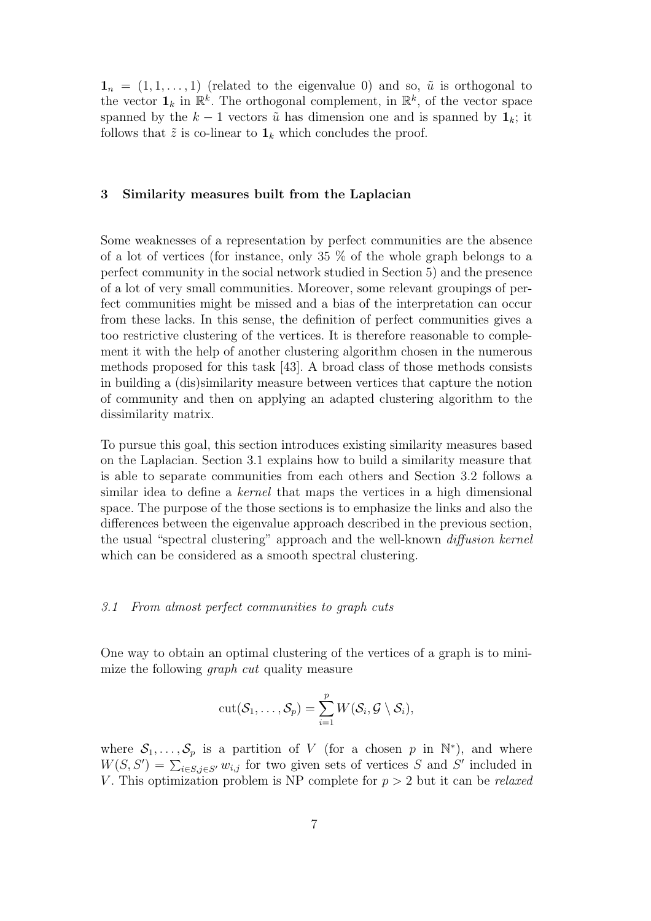$\mathbf{1}_n = (1, 1, \ldots, 1)$  (related to the eigenvalue 0) and so,  $\tilde{u}$  is orthogonal to the vector  $\mathbf{1}_k$  in  $\mathbb{R}^k$ . The orthogonal complement, in  $\mathbb{R}^k$ , of the vector space spanned by the  $k - 1$  vectors  $\tilde{u}$  has dimension one and is spanned by  $\mathbf{1}_k$ ; it follows that  $\tilde{z}$  is co-linear to  $\mathbf{1}_k$  which concludes the proof.

#### 3 Similarity measures built from the Laplacian

Some weaknesses of a representation by perfect communities are the absence of a lot of vertices (for instance, only 35 % of the whole graph belongs to a perfect community in the social network studied in Section 5) and the presence of a lot of very small communities. Moreover, some relevant groupings of perfect communities might be missed and a bias of the interpretation can occur from these lacks. In this sense, the definition of perfect communities gives a too restrictive clustering of the vertices. It is therefore reasonable to complement it with the help of another clustering algorithm chosen in the numerous methods proposed for this task [43]. A broad class of those methods consists in building a (dis)similarity measure between vertices that capture the notion of community and then on applying an adapted clustering algorithm to the dissimilarity matrix.

To pursue this goal, this section introduces existing similarity measures based on the Laplacian. Section 3.1 explains how to build a similarity measure that is able to separate communities from each others and Section 3.2 follows a similar idea to define a kernel that maps the vertices in a high dimensional space. The purpose of the those sections is to emphasize the links and also the differences between the eigenvalue approach described in the previous section, the usual "spectral clustering" approach and the well-known diffusion kernel which can be considered as a smooth spectral clustering.

#### 3.1 From almost perfect communities to graph cuts

One way to obtain an optimal clustering of the vertices of a graph is to minimize the following *graph cut* quality measure

$$
\mathrm{cut}(\mathcal{S}_1,\ldots,\mathcal{S}_p)=\sum_{i=1}^p W(\mathcal{S}_i,\mathcal{G}\setminus\mathcal{S}_i),
$$

where  $S_1, \ldots, S_p$  is a partition of V (for a chosen p in  $\mathbb{N}^*$ ), and where  $W(S, S') = \sum_{i \in S, j \in S'} w_{i,j}$  for two given sets of vertices S and S' included in V. This optimization problem is NP complete for  $p > 2$  but it can be *relaxed*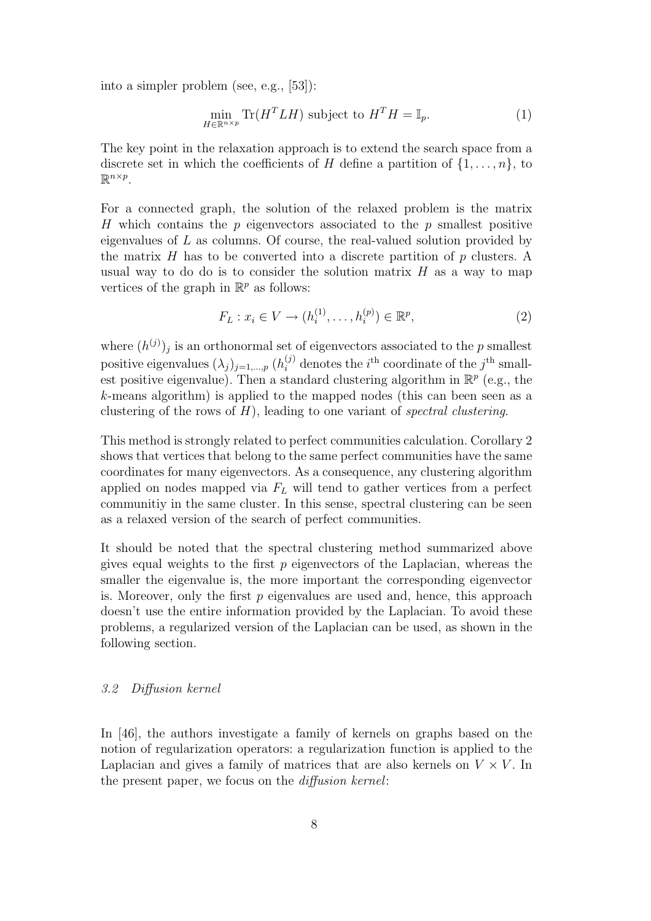into a simpler problem (see, e.g., [53]):

$$
\min_{H \in \mathbb{R}^{n \times p}} \text{Tr}(H^T L H) \text{ subject to } H^T H = \mathbb{I}_p. \tag{1}
$$

The key point in the relaxation approach is to extend the search space from a discrete set in which the coefficients of H define a partition of  $\{1,\ldots,n\}$ , to  $\mathbb{R}^{n \times p}$ .

For a connected graph, the solution of the relaxed problem is the matrix H which contains the p eigenvectors associated to the p smallest positive eigenvalues of L as columns. Of course, the real-valued solution provided by the matrix  $H$  has to be converted into a discrete partition of  $p$  clusters. A usual way to do do is to consider the solution matrix  $H$  as a way to map vertices of the graph in  $\mathbb{R}^p$  as follows:

$$
F_L: x_i \in V \to (h_i^{(1)}, \dots, h_i^{(p)}) \in \mathbb{R}^p, \tag{2}
$$

where  $(h^{(j)})_j$  is an orthonormal set of eigenvectors associated to the p smallest positive eigenvalues  $(\lambda_j)_{j=1,\dots,p}$   $(h_i^{(j)}$  denotes the  $i^{\text{th}}$  coordinate of the  $j^{\text{th}}$  smallest positive eigenvalue). Then a standard clustering algorithm in  $\mathbb{R}^p$  (e.g., the k-means algorithm) is applied to the mapped nodes (this can been seen as a clustering of the rows of  $H$ ), leading to one variant of spectral clustering.

This method is strongly related to perfect communities calculation. Corollary 2 shows that vertices that belong to the same perfect communities have the same coordinates for many eigenvectors. As a consequence, any clustering algorithm applied on nodes mapped via  $F<sub>L</sub>$  will tend to gather vertices from a perfect communitiy in the same cluster. In this sense, spectral clustering can be seen as a relaxed version of the search of perfect communities.

It should be noted that the spectral clustering method summarized above gives equal weights to the first  $p$  eigenvectors of the Laplacian, whereas the smaller the eigenvalue is, the more important the corresponding eigenvector is. Moreover, only the first  $p$  eigenvalues are used and, hence, this approach doesn't use the entire information provided by the Laplacian. To avoid these problems, a regularized version of the Laplacian can be used, as shown in the following section.

# 3.2 Diffusion kernel

In [46], the authors investigate a family of kernels on graphs based on the notion of regularization operators: a regularization function is applied to the Laplacian and gives a family of matrices that are also kernels on  $V \times V$ . In the present paper, we focus on the diffusion kernel: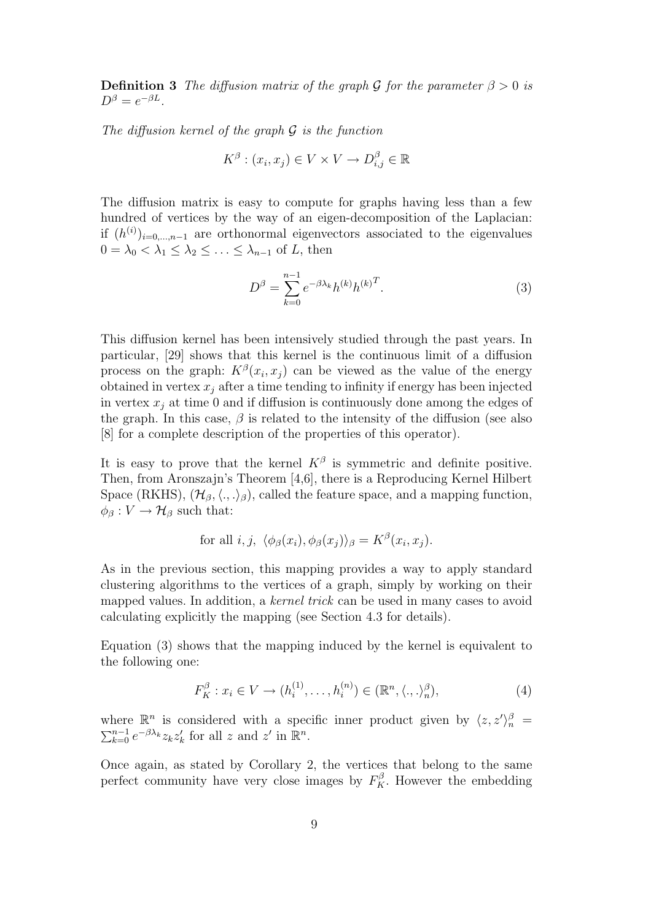**Definition 3** The diffusion matrix of the graph G for the parameter  $\beta > 0$  is  $D^{\beta} = e^{-\beta L}.$ 

The diffusion kernel of the graph  $\mathcal G$  is the function

$$
K^{\beta}: (x_i, x_j) \in V \times V \to D^{\beta}_{i,j} \in \mathbb{R}
$$

The diffusion matrix is easy to compute for graphs having less than a few hundred of vertices by the way of an eigen-decomposition of the Laplacian: if  $(h^{(i)})_{i=0,\dots,n-1}$  are orthonormal eigenvectors associated to the eigenvalues  $0 = \lambda_0 < \lambda_1 \leq \lambda_2 \leq \ldots \leq \lambda_{n-1}$  of L, then

$$
D^{\beta} = \sum_{k=0}^{n-1} e^{-\beta \lambda_k} h^{(k)} h^{(k)T}.
$$
 (3)

This diffusion kernel has been intensively studied through the past years. In particular, [29] shows that this kernel is the continuous limit of a diffusion process on the graph:  $K^{\beta}(x_i, x_j)$  can be viewed as the value of the energy obtained in vertex  $x_i$  after a time tending to infinity if energy has been injected in vertex  $x_i$  at time 0 and if diffusion is continuously done among the edges of the graph. In this case,  $\beta$  is related to the intensity of the diffusion (see also [8] for a complete description of the properties of this operator).

It is easy to prove that the kernel  $K^{\beta}$  is symmetric and definite positive. Then, from Aronszajn's Theorem [4,6], there is a Reproducing Kernel Hilbert Space (RKHS),  $(\mathcal{H}_{\beta},\langle.,.\rangle_{\beta})$ , called the feature space, and a mapping function,  $\phi_{\beta}: V \to \mathcal{H}_{\beta}$  such that:

for all 
$$
i, j, \langle \phi_{\beta}(x_i), \phi_{\beta}(x_j) \rangle_{\beta} = K^{\beta}(x_i, x_j)
$$
.

As in the previous section, this mapping provides a way to apply standard clustering algorithms to the vertices of a graph, simply by working on their mapped values. In addition, a kernel trick can be used in many cases to avoid calculating explicitly the mapping (see Section 4.3 for details).

Equation (3) shows that the mapping induced by the kernel is equivalent to the following one:

$$
F_K^{\beta} : x_i \in V \to (h_i^{(1)}, \dots, h_i^{(n)}) \in (\mathbb{R}^n, \langle., .\rangle_n^{\beta}),
$$
\n(4)

where  $\mathbb{R}^n$  is considered with a specific inner product given by  $\langle z, z' \rangle_n^{\beta} = \sum_{i=1}^{n-1} e^{-\beta \lambda_k} z_{i} z'_{i}$  for all z and z' in  $\mathbb{R}^n$  $_{k=0}^{n-1}e^{-\beta\lambda_k}z_kz'_k$  $'_{k}$  for all z and z' in  $\mathbb{R}^{n}$ .

Once again, as stated by Corollary 2, the vertices that belong to the same perfect community have very close images by  $F_K^{\beta}$ . However the embedding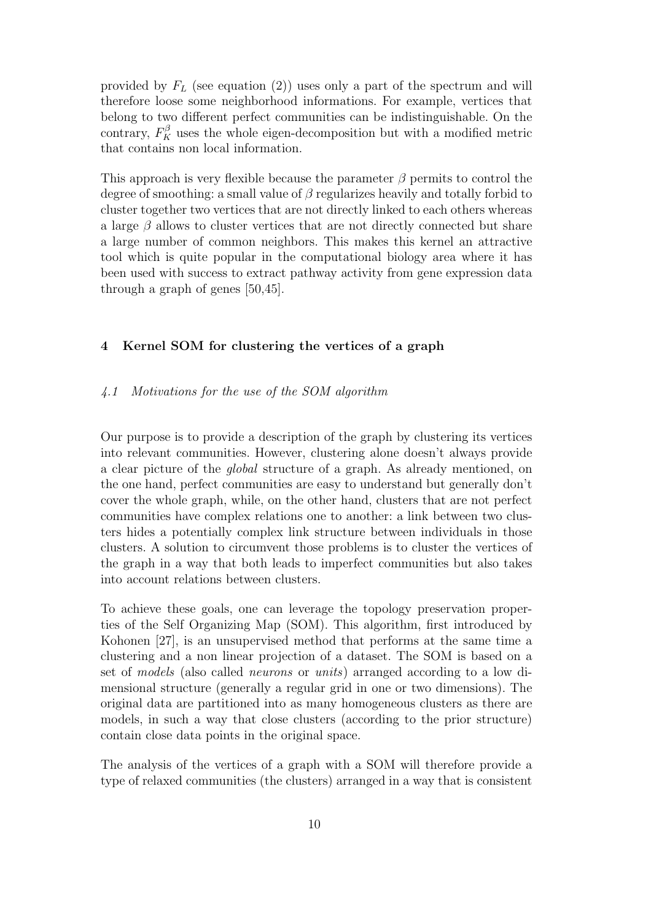provided by  $F<sub>L</sub>$  (see equation (2)) uses only a part of the spectrum and will therefore loose some neighborhood informations. For example, vertices that belong to two different perfect communities can be indistinguishable. On the contrary,  $F_K^{\beta}$  uses the whole eigen-decomposition but with a modified metric that contains non local information.

This approach is very flexible because the parameter  $\beta$  permits to control the degree of smoothing: a small value of  $\beta$  regularizes heavily and totally forbid to cluster together two vertices that are not directly linked to each others whereas a large  $\beta$  allows to cluster vertices that are not directly connected but share a large number of common neighbors. This makes this kernel an attractive tool which is quite popular in the computational biology area where it has been used with success to extract pathway activity from gene expression data through a graph of genes [50,45].

## 4 Kernel SOM for clustering the vertices of a graph

#### 4.1 Motivations for the use of the SOM algorithm

Our purpose is to provide a description of the graph by clustering its vertices into relevant communities. However, clustering alone doesn't always provide a clear picture of the global structure of a graph. As already mentioned, on the one hand, perfect communities are easy to understand but generally don't cover the whole graph, while, on the other hand, clusters that are not perfect communities have complex relations one to another: a link between two clusters hides a potentially complex link structure between individuals in those clusters. A solution to circumvent those problems is to cluster the vertices of the graph in a way that both leads to imperfect communities but also takes into account relations between clusters.

To achieve these goals, one can leverage the topology preservation properties of the Self Organizing Map (SOM). This algorithm, first introduced by Kohonen [27], is an unsupervised method that performs at the same time a clustering and a non linear projection of a dataset. The SOM is based on a set of models (also called neurons or units) arranged according to a low dimensional structure (generally a regular grid in one or two dimensions). The original data are partitioned into as many homogeneous clusters as there are models, in such a way that close clusters (according to the prior structure) contain close data points in the original space.

The analysis of the vertices of a graph with a SOM will therefore provide a type of relaxed communities (the clusters) arranged in a way that is consistent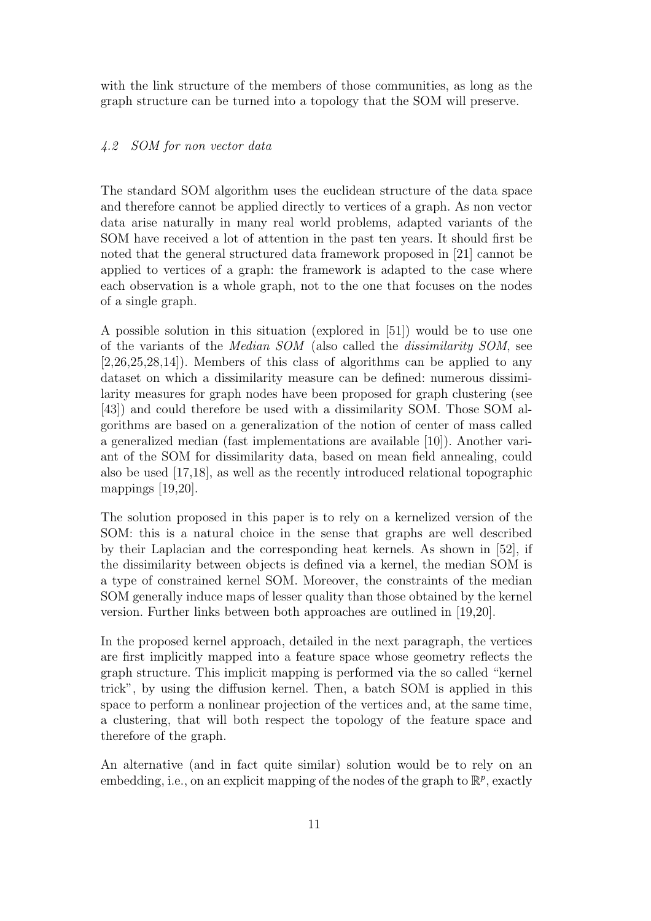with the link structure of the members of those communities, as long as the graph structure can be turned into a topology that the SOM will preserve.

# 4.2 SOM for non vector data

The standard SOM algorithm uses the euclidean structure of the data space and therefore cannot be applied directly to vertices of a graph. As non vector data arise naturally in many real world problems, adapted variants of the SOM have received a lot of attention in the past ten years. It should first be noted that the general structured data framework proposed in [21] cannot be applied to vertices of a graph: the framework is adapted to the case where each observation is a whole graph, not to the one that focuses on the nodes of a single graph.

A possible solution in this situation (explored in [51]) would be to use one of the variants of the Median SOM (also called the dissimilarity SOM, see [2,26,25,28,14]). Members of this class of algorithms can be applied to any dataset on which a dissimilarity measure can be defined: numerous dissimilarity measures for graph nodes have been proposed for graph clustering (see [43]) and could therefore be used with a dissimilarity SOM. Those SOM algorithms are based on a generalization of the notion of center of mass called a generalized median (fast implementations are available [10]). Another variant of the SOM for dissimilarity data, based on mean field annealing, could also be used [17,18], as well as the recently introduced relational topographic mappings [19,20].

The solution proposed in this paper is to rely on a kernelized version of the SOM: this is a natural choice in the sense that graphs are well described by their Laplacian and the corresponding heat kernels. As shown in [52], if the dissimilarity between objects is defined via a kernel, the median SOM is a type of constrained kernel SOM. Moreover, the constraints of the median SOM generally induce maps of lesser quality than those obtained by the kernel version. Further links between both approaches are outlined in [19,20].

In the proposed kernel approach, detailed in the next paragraph, the vertices are first implicitly mapped into a feature space whose geometry reflects the graph structure. This implicit mapping is performed via the so called "kernel trick", by using the diffusion kernel. Then, a batch SOM is applied in this space to perform a nonlinear projection of the vertices and, at the same time, a clustering, that will both respect the topology of the feature space and therefore of the graph.

An alternative (and in fact quite similar) solution would be to rely on an embedding, i.e., on an explicit mapping of the nodes of the graph to  $\mathbb{R}^p$ , exactly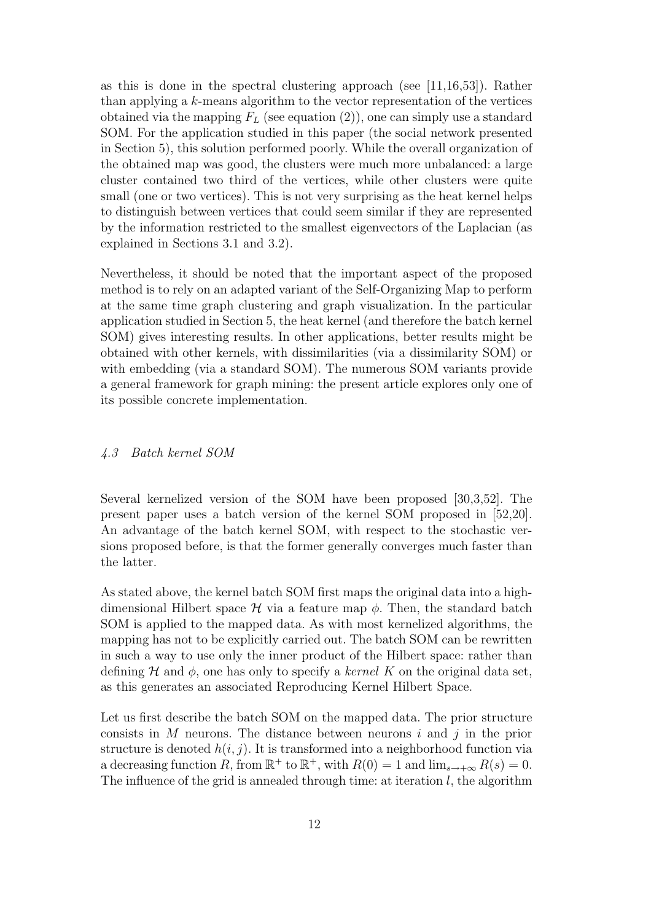as this is done in the spectral clustering approach (see  $[11,16,53]$ ). Rather than applying a k-means algorithm to the vector representation of the vertices obtained via the mapping  $F_L$  (see equation (2)), one can simply use a standard SOM. For the application studied in this paper (the social network presented in Section 5), this solution performed poorly. While the overall organization of the obtained map was good, the clusters were much more unbalanced: a large cluster contained two third of the vertices, while other clusters were quite small (one or two vertices). This is not very surprising as the heat kernel helps to distinguish between vertices that could seem similar if they are represented by the information restricted to the smallest eigenvectors of the Laplacian (as explained in Sections 3.1 and 3.2).

Nevertheless, it should be noted that the important aspect of the proposed method is to rely on an adapted variant of the Self-Organizing Map to perform at the same time graph clustering and graph visualization. In the particular application studied in Section 5, the heat kernel (and therefore the batch kernel SOM) gives interesting results. In other applications, better results might be obtained with other kernels, with dissimilarities (via a dissimilarity SOM) or with embedding (via a standard SOM). The numerous SOM variants provide a general framework for graph mining: the present article explores only one of its possible concrete implementation.

#### 4.3 Batch kernel SOM

Several kernelized version of the SOM have been proposed [30,3,52]. The present paper uses a batch version of the kernel SOM proposed in [52,20]. An advantage of the batch kernel SOM, with respect to the stochastic versions proposed before, is that the former generally converges much faster than the latter.

As stated above, the kernel batch SOM first maps the original data into a highdimensional Hilbert space  $\mathcal H$  via a feature map  $\phi$ . Then, the standard batch SOM is applied to the mapped data. As with most kernelized algorithms, the mapping has not to be explicitly carried out. The batch SOM can be rewritten in such a way to use only the inner product of the Hilbert space: rather than defining H and  $\phi$ , one has only to specify a kernel K on the original data set, as this generates an associated Reproducing Kernel Hilbert Space.

Let us first describe the batch SOM on the mapped data. The prior structure consists in  $M$  neurons. The distance between neurons i and j in the prior structure is denoted  $h(i, j)$ . It is transformed into a neighborhood function via a decreasing function R, from  $\mathbb{R}^+$  to  $\mathbb{R}^+$ , with  $R(0) = 1$  and  $\lim_{s \to +\infty} R(s) = 0$ . The influence of the grid is annealed through time: at iteration  $l$ , the algorithm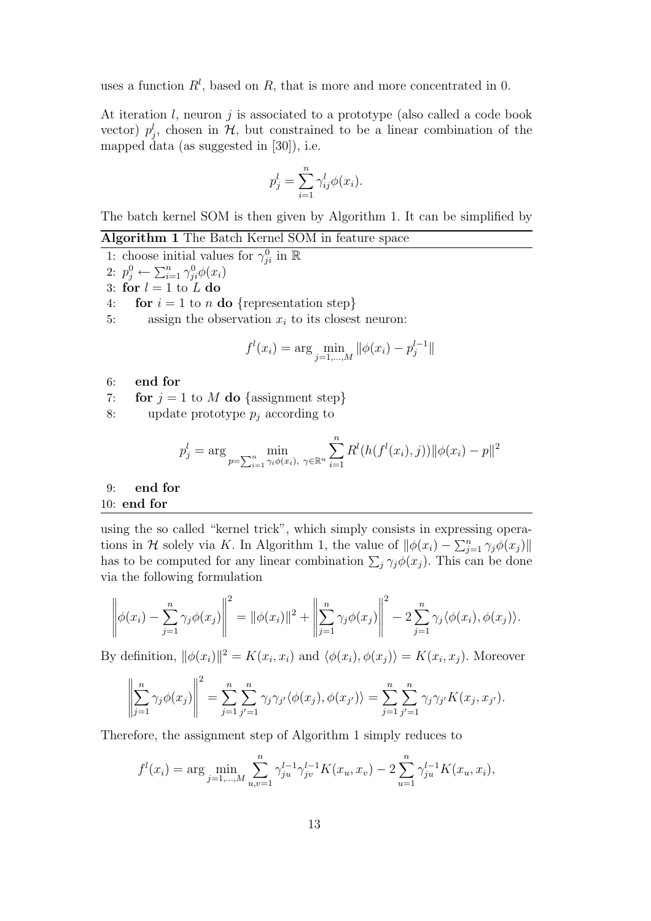uses a function  $R^l$ , based on R, that is more and more concentrated in 0.

At iteration *l*, neuron *j* is associated to a prototype (also called a code book vector)  $p_j^l$ , chosen in  $H$ , but constrained to be a linear combination of the mapped data (as suggested in [30]), i.e.

$$
p_j^l = \sum_{i=1}^n \gamma_{ij}^l \phi(x_i).
$$

The batch kernel SOM is then given by Algorithm 1. It can be simplified by

Algorithm 1 The Batch Kernel SOM in feature space

1: choose initial values for  $\gamma_{ji}^0$  in  $\mathbb R$ 2:  $p_j^0 \leftarrow \sum_{i=1}^n \gamma_{ji}^0 \phi(x_i)$ 

3: for  $l = 1$  to  $L$  do

4: for  $i = 1$  to n do {representation step}

5: assign the observation  $x_i$  to its closest neuron:

$$
f^{l}(x_{i}) = \arg \min_{j=1,\dots,M} \|\phi(x_{i}) - p_{j}^{l-1}\|
$$

- 6: end for
- 7: for  $j = 1$  to M do {assignment step}
- 8: update prototype  $p_i$  according to

$$
p_j^l = \arg \min_{p = \sum_{i=1}^n \gamma_i \phi(x_i), \ \gamma \in \mathbb{R}^n} \sum_{i=1}^n R^l(h(f^l(x_i), j)) ||\phi(x_i) - p||^2
$$

9: end for 10: end for

using the so called "kernel trick", which simply consists in expressing operations in H solely via K. In Algorithm 1, the value of  $\|\phi(x_i) - \sum_{j=1}^n \gamma_j \phi(x_j)\|$ has to be computed for any linear combination  $\sum_j \gamma_j \phi(x_j)$ . This can be done via the following formulation

$$
\left\|\phi(x_i) - \sum_{j=1}^n \gamma_j \phi(x_j)\right\|^2 = \|\phi(x_i)\|^2 + \left\|\sum_{j=1}^n \gamma_j \phi(x_j)\right\|^2 - 2\sum_{j=1}^n \gamma_j \langle \phi(x_i), \phi(x_j) \rangle.
$$

By definition,  $\|\phi(x_i)\|^2 = K(x_i, x_i)$  and  $\langle \phi(x_i), \phi(x_j) \rangle = K(x_i, x_j)$ . Moreover

$$
\left\|\sum_{j=1}^n \gamma_j \phi(x_j)\right\|^2 = \sum_{j=1}^n \sum_{j'=1}^n \gamma_j \gamma_{j'} \langle \phi(x_j), \phi(x_{j'}) \rangle = \sum_{j=1}^n \sum_{j'=1}^n \gamma_j \gamma_{j'} K(x_j, x_{j'}).
$$

Therefore, the assignment step of Algorithm 1 simply reduces to

$$
f^{l}(x_{i}) = \arg \min_{j=1,\dots,M} \sum_{u,v=1}^{n} \gamma_{ju}^{l-1} \gamma_{iv}^{l-1} K(x_{u}, x_{v}) - 2 \sum_{u=1}^{n} \gamma_{ju}^{l-1} K(x_{u}, x_{i}),
$$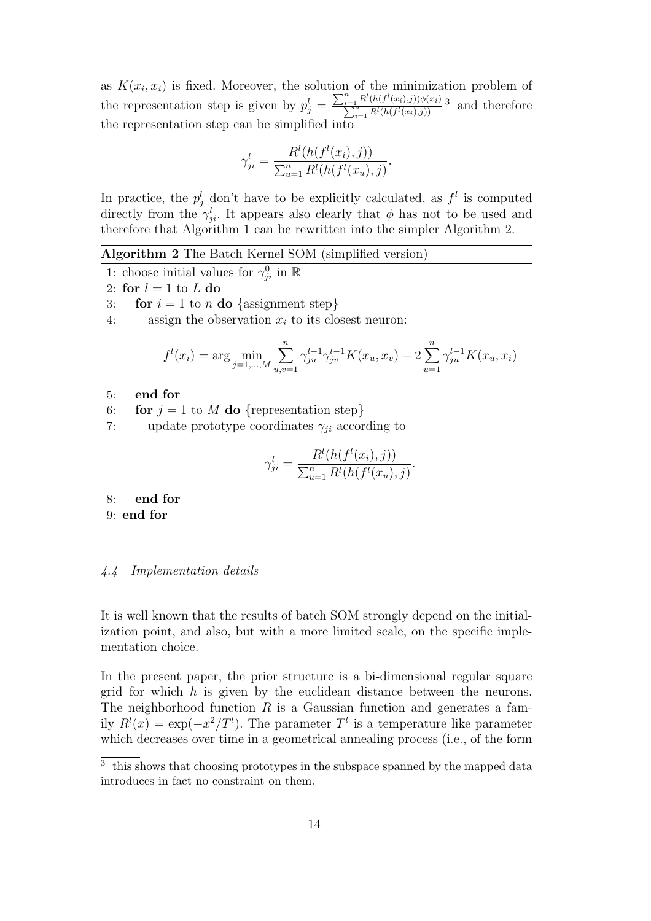as  $K(x_i, x_i)$  is fixed. Moreover, the solution of the minimization problem of the representation step is given by  $p_j^l = \frac{\sum_{i=1}^n R^l(h(f^{l}))}{\sum_{i=1}^n R^l(h(f^{l}))}$  $\sum$  $\frac{n^{R}(h(f^{l}(x_{i}),j))\phi(x_{i})}{n^{R}(h(f^{l}(x_{i}),j))}$ <sup>3</sup> and therefore the representation step can be simplified into

$$
\gamma_{ji}^{l} = \frac{R^{l}(h(f^{l}(x_i), j))}{\sum_{u=1}^{n} R^{l}(h(f^{l}(x_u), j)}.
$$

In practice, the  $p_j^l$  don't have to be explicitly calculated, as  $f^l$  is computed directly from the  $\gamma_{ji}^l$ . It appears also clearly that  $\phi$  has not to be used and therefore that Algorithm 1 can be rewritten into the simpler Algorithm 2.

Algorithm 2 The Batch Kernel SOM (simplified version)

1: choose initial values for  $\gamma_{ji}^0$  in  $\mathbb R$ 

- 2: for  $l = 1$  to L do
- 3: for  $i = 1$  to n do {assignment step}
- 4: assign the observation  $x_i$  to its closest neuron:

$$
f^{l}(x_{i}) = \arg \min_{j=1,\dots,M} \sum_{u,v=1}^{n} \gamma_{ju}^{l-1} \gamma_{jv}^{l-1} K(x_{u}, x_{v}) - 2 \sum_{u=1}^{n} \gamma_{ju}^{l-1} K(x_{u}, x_{i})
$$

- 5: end for
- 6: for  $j = 1$  to M do {representation step}
- 7: update prototype coordinates  $\gamma_{ji}$  according to

$$
\gamma_{ji}^{l} = \frac{R^{l}(h(f^{l}(x_i), j))}{\sum_{u=1}^{n} R^{l}(h(f^{l}(x_u), j)}.
$$

8: end for 9: end for

#### 4.4 Implementation details

It is well known that the results of batch SOM strongly depend on the initialization point, and also, but with a more limited scale, on the specific implementation choice.

In the present paper, the prior structure is a bi-dimensional regular square grid for which  $h$  is given by the euclidean distance between the neurons. The neighborhood function  $R$  is a Gaussian function and generates a family  $R^l(x) = \exp(-x^2/T^l)$ . The parameter  $T^l$  is a temperature like parameter which decreases over time in a geometrical annealing process (i.e., of the form

<sup>&</sup>lt;sup>3</sup> this shows that choosing prototypes in the subspace spanned by the mapped data introduces in fact no constraint on them.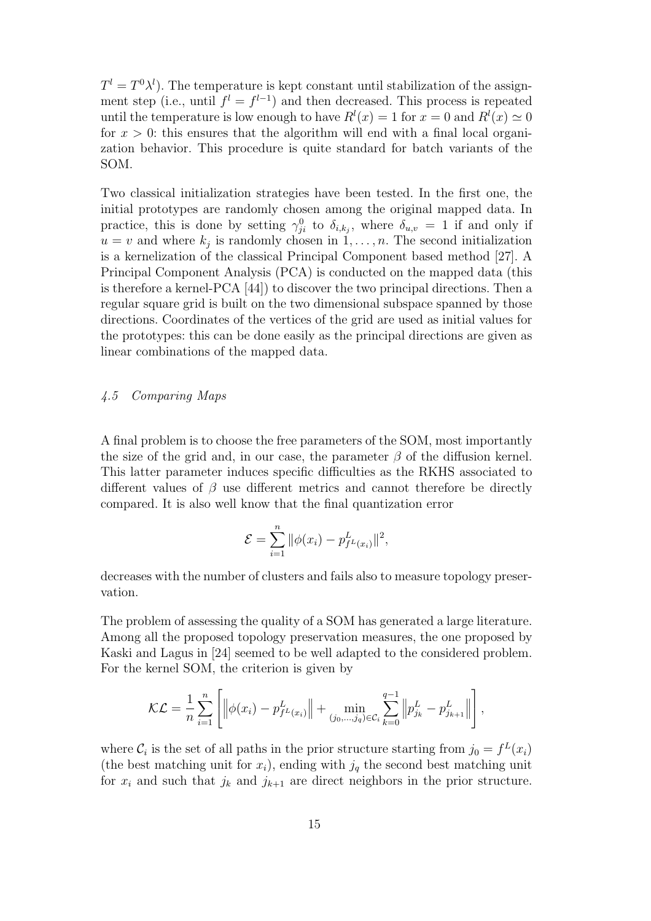$T^{l} = T^{0} \lambda^{l}$ ). The temperature is kept constant until stabilization of the assignment step (i.e., until  $f^l = f^{l-1}$ ) and then decreased. This process is repeated until the temperature is low enough to have  $R^l(x) = 1$  for  $x = 0$  and  $R^l(x) \simeq 0$ for  $x > 0$ : this ensures that the algorithm will end with a final local organization behavior. This procedure is quite standard for batch variants of the SOM.

Two classical initialization strategies have been tested. In the first one, the initial prototypes are randomly chosen among the original mapped data. In practice, this is done by setting  $\gamma_{ji}^0$  to  $\delta_{i,k_j}$ , where  $\delta_{u,v} = 1$  if and only if  $u = v$  and where  $k_j$  is randomly chosen in  $1, \ldots, n$ . The second initialization is a kernelization of the classical Principal Component based method [27]. A Principal Component Analysis (PCA) is conducted on the mapped data (this is therefore a kernel-PCA [44]) to discover the two principal directions. Then a regular square grid is built on the two dimensional subspace spanned by those directions. Coordinates of the vertices of the grid are used as initial values for the prototypes: this can be done easily as the principal directions are given as linear combinations of the mapped data.

## 4.5 Comparing Maps

A final problem is to choose the free parameters of the SOM, most importantly the size of the grid and, in our case, the parameter  $\beta$  of the diffusion kernel. This latter parameter induces specific difficulties as the RKHS associated to different values of  $\beta$  use different metrics and cannot therefore be directly compared. It is also well know that the final quantization error

$$
\mathcal{E} = \sum_{i=1}^{n} ||\phi(x_i) - p_{f^L(x_i)}^L||^2,
$$

decreases with the number of clusters and fails also to measure topology preservation.

The problem of assessing the quality of a SOM has generated a large literature. Among all the proposed topology preservation measures, the one proposed by Kaski and Lagus in [24] seemed to be well adapted to the considered problem. For the kernel SOM, the criterion is given by

$$
\mathcal{KL} = \frac{1}{n} \sum_{i=1}^{n} \left[ \left\| \phi(x_i) - p_{f^L(x_i)}^L \right\| + \min_{(j_0, \dots, j_q) \in \mathcal{C}_i} \sum_{k=0}^{q-1} \left\| p_{j_k}^L - p_{j_{k+1}}^L \right\| \right],
$$

where  $C_i$  is the set of all paths in the prior structure starting from  $j_0 = f^L(x_i)$ (the best matching unit for  $x_i$ ), ending with  $j_q$  the second best matching unit for  $x_i$  and such that  $j_k$  and  $j_{k+1}$  are direct neighbors in the prior structure.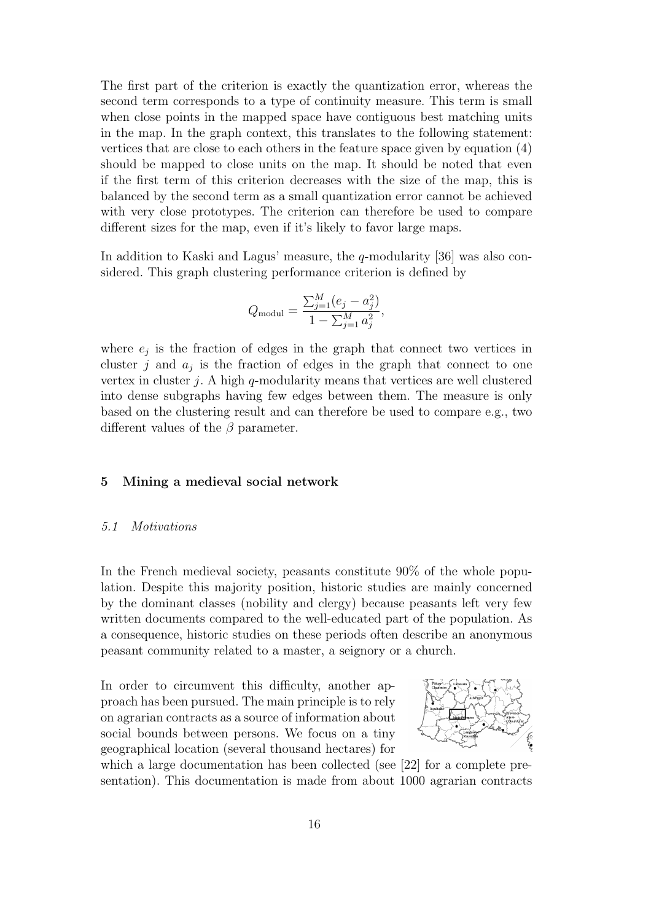The first part of the criterion is exactly the quantization error, whereas the second term corresponds to a type of continuity measure. This term is small when close points in the mapped space have contiguous best matching units in the map. In the graph context, this translates to the following statement: vertices that are close to each others in the feature space given by equation (4) should be mapped to close units on the map. It should be noted that even if the first term of this criterion decreases with the size of the map, this is balanced by the second term as a small quantization error cannot be achieved with very close prototypes. The criterion can therefore be used to compare different sizes for the map, even if it's likely to favor large maps.

In addition to Kaski and Lagus' measure, the q-modularity [36] was also considered. This graph clustering performance criterion is defined by

$$
Q_{\text{modul}} = \frac{\sum_{j=1}^{M} (e_j - a_j^2)}{1 - \sum_{j=1}^{M} a_j^2},
$$

where  $e_j$  is the fraction of edges in the graph that connect two vertices in cluster j and  $a_j$  is the fraction of edges in the graph that connect to one vertex in cluster j. A high  $q$ -modularity means that vertices are well clustered into dense subgraphs having few edges between them. The measure is only based on the clustering result and can therefore be used to compare e.g., two different values of the  $\beta$  parameter.

#### 5 Mining a medieval social network

#### 5.1 Motivations

In the French medieval society, peasants constitute 90% of the whole population. Despite this majority position, historic studies are mainly concerned by the dominant classes (nobility and clergy) because peasants left very few written documents compared to the well-educated part of the population. As a consequence, historic studies on these periods often describe an anonymous peasant community related to a master, a seignory or a church.

In order to circumvent this difficulty, another approach has been pursued. The main principle is to rely on agrarian contracts as a source of information about social bounds between persons. We focus on a tiny geographical location (several thousand hectares) for



which a large documentation has been collected (see [22] for a complete presentation). This documentation is made from about 1000 agrarian contracts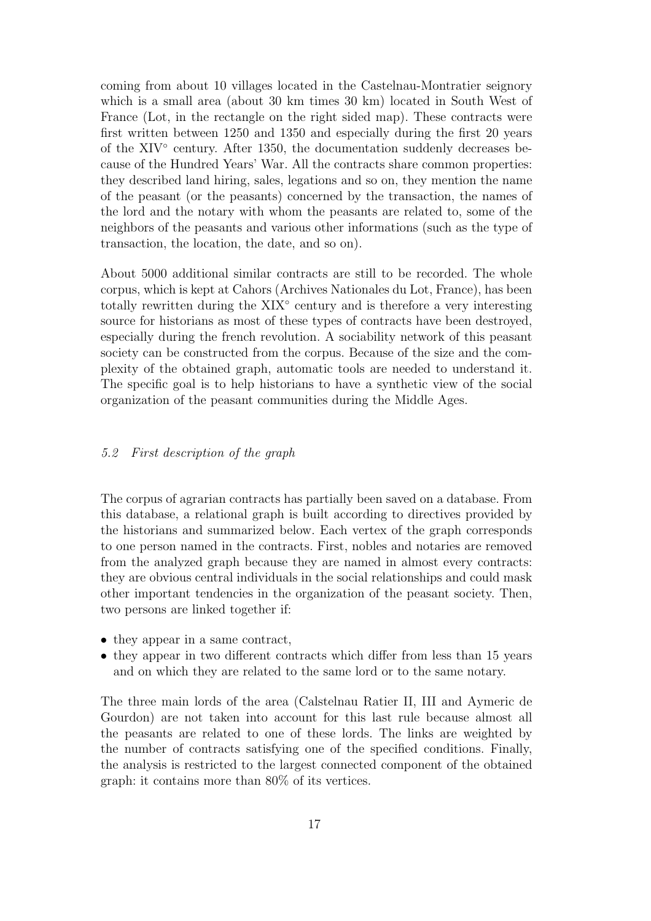coming from about 10 villages located in the Castelnau-Montratier seignory which is a small area (about 30 km times 30 km) located in South West of France (Lot, in the rectangle on the right sided map). These contracts were first written between 1250 and 1350 and especially during the first 20 years of the XIV◦ century. After 1350, the documentation suddenly decreases because of the Hundred Years' War. All the contracts share common properties: they described land hiring, sales, legations and so on, they mention the name of the peasant (or the peasants) concerned by the transaction, the names of the lord and the notary with whom the peasants are related to, some of the neighbors of the peasants and various other informations (such as the type of transaction, the location, the date, and so on).

About 5000 additional similar contracts are still to be recorded. The whole corpus, which is kept at Cahors (Archives Nationales du Lot, France), has been totally rewritten during the XIX<sup>°</sup> century and is therefore a very interesting source for historians as most of these types of contracts have been destroyed, especially during the french revolution. A sociability network of this peasant society can be constructed from the corpus. Because of the size and the complexity of the obtained graph, automatic tools are needed to understand it. The specific goal is to help historians to have a synthetic view of the social organization of the peasant communities during the Middle Ages.

## 5.2 First description of the graph

The corpus of agrarian contracts has partially been saved on a database. From this database, a relational graph is built according to directives provided by the historians and summarized below. Each vertex of the graph corresponds to one person named in the contracts. First, nobles and notaries are removed from the analyzed graph because they are named in almost every contracts: they are obvious central individuals in the social relationships and could mask other important tendencies in the organization of the peasant society. Then, two persons are linked together if:

- they appear in a same contract,
- they appear in two different contracts which differ from less than 15 years and on which they are related to the same lord or to the same notary.

The three main lords of the area (Calstelnau Ratier II, III and Aymeric de Gourdon) are not taken into account for this last rule because almost all the peasants are related to one of these lords. The links are weighted by the number of contracts satisfying one of the specified conditions. Finally, the analysis is restricted to the largest connected component of the obtained graph: it contains more than 80% of its vertices.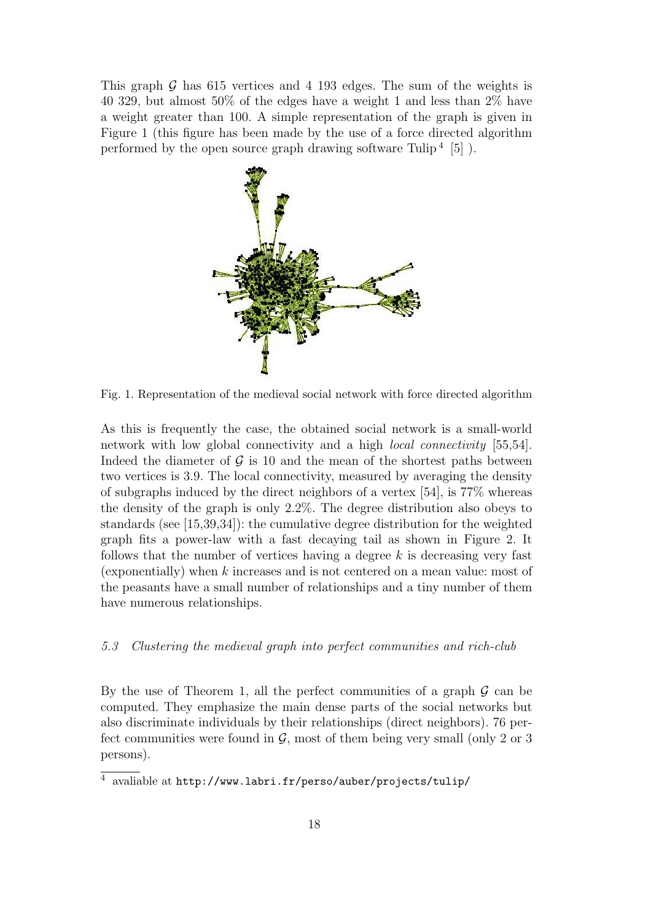This graph G has 615 vertices and 4 193 edges. The sum of the weights is 40 329, but almost 50% of the edges have a weight 1 and less than 2% have a weight greater than 100. A simple representation of the graph is given in Figure 1 (this figure has been made by the use of a force directed algorithm performed by the open source graph drawing software Tulip<sup>4</sup> [5].



Fig. 1. Representation of the medieval social network with force directed algorithm

As this is frequently the case, the obtained social network is a small-world network with low global connectivity and a high local connectivity [55,54]. Indeed the diameter of  $\mathcal G$  is 10 and the mean of the shortest paths between two vertices is 3.9. The local connectivity, measured by averaging the density of subgraphs induced by the direct neighbors of a vertex [54], is 77% whereas the density of the graph is only 2.2%. The degree distribution also obeys to standards (see [15,39,34]): the cumulative degree distribution for the weighted graph fits a power-law with a fast decaying tail as shown in Figure 2. It follows that the number of vertices having a degree  $k$  is decreasing very fast (exponentially) when k increases and is not centered on a mean value: most of the peasants have a small number of relationships and a tiny number of them have numerous relationships.

#### 5.3 Clustering the medieval graph into perfect communities and rich-club

By the use of Theorem 1, all the perfect communities of a graph  $\mathcal G$  can be computed. They emphasize the main dense parts of the social networks but also discriminate individuals by their relationships (direct neighbors). 76 perfect communities were found in  $\mathcal{G}$ , most of them being very small (only 2 or 3) persons).

<sup>4</sup> avaliable at http://www.labri.fr/perso/auber/projects/tulip/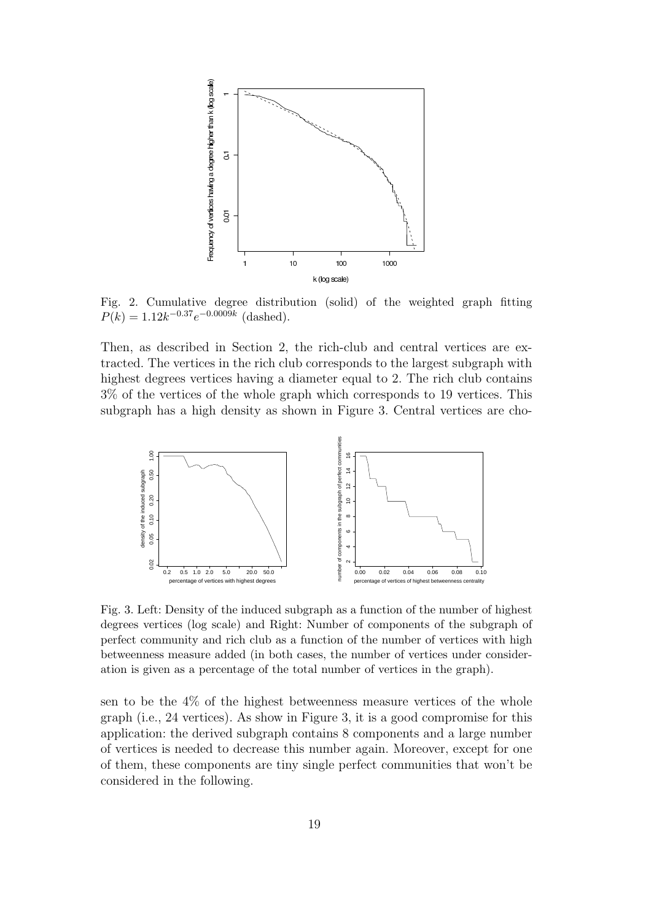

Fig. 2. Cumulative degree distribution (solid) of the weighted graph fitting  $P(k) = 1.12k^{-0.37}e^{-0.0009k}$  (dashed).

Then, as described in Section 2, the rich-club and central vertices are extracted. The vertices in the rich club corresponds to the largest subgraph with highest degrees vertices having a diameter equal to 2. The rich club contains 3% of the vertices of the whole graph which corresponds to 19 vertices. This subgraph has a high density as shown in Figure 3. Central vertices are cho-



Fig. 3. Left: Density of the induced subgraph as a function of the number of highest degrees vertices (log scale) and Right: Number of components of the subgraph of perfect community and rich club as a function of the number of vertices with high betweenness measure added (in both cases, the number of vertices under consideration is given as a percentage of the total number of vertices in the graph).

sen to be the 4% of the highest betweenness measure vertices of the whole graph (i.e., 24 vertices). As show in Figure 3, it is a good compromise for this application: the derived subgraph contains 8 components and a large number of vertices is needed to decrease this number again. Moreover, except for one of them, these components are tiny single perfect communities that won't be considered in the following.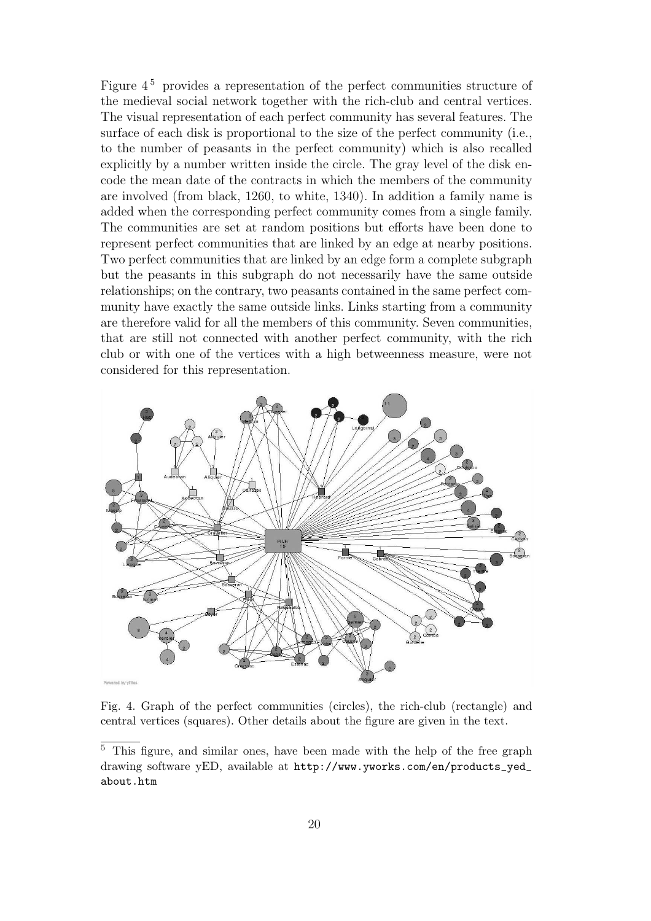Figure  $4^5$  provides a representation of the perfect communities structure of the medieval social network together with the rich-club and central vertices. The visual representation of each perfect community has several features. The surface of each disk is proportional to the size of the perfect community (i.e., to the number of peasants in the perfect community) which is also recalled explicitly by a number written inside the circle. The gray level of the disk encode the mean date of the contracts in which the members of the community are involved (from black, 1260, to white, 1340). In addition a family name is added when the corresponding perfect community comes from a single family. The communities are set at random positions but efforts have been done to represent perfect communities that are linked by an edge at nearby positions. Two perfect communities that are linked by an edge form a complete subgraph but the peasants in this subgraph do not necessarily have the same outside relationships; on the contrary, two peasants contained in the same perfect community have exactly the same outside links. Links starting from a community are therefore valid for all the members of this community. Seven communities, that are still not connected with another perfect community, with the rich club or with one of the vertices with a high betweenness measure, were not considered for this representation.



Fig. 4. Graph of the perfect communities (circles), the rich-club (rectangle) and central vertices (squares). Other details about the figure are given in the text.

<sup>5</sup> This figure, and similar ones, have been made with the help of the free graph drawing software yED, available at http://www.yworks.com/en/products\_yed\_ about.htm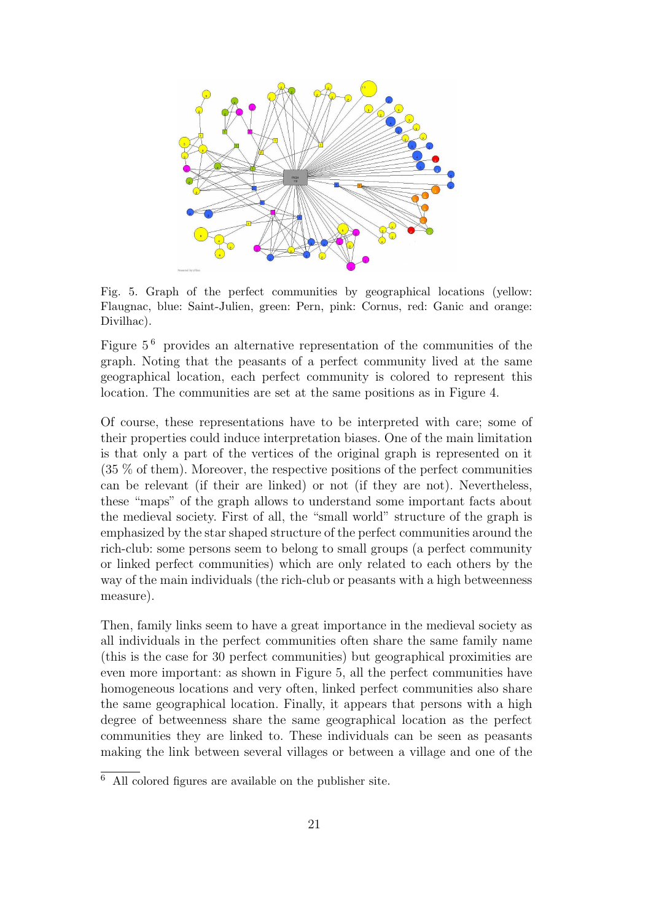

Fig. 5. Graph of the perfect communities by geographical locations (yellow: Flaugnac, blue: Saint-Julien, green: Pern, pink: Cornus, red: Ganic and orange: Divilhac).

Figure  $5^6$  provides an alternative representation of the communities of the graph. Noting that the peasants of a perfect community lived at the same geographical location, each perfect community is colored to represent this location. The communities are set at the same positions as in Figure 4.

Of course, these representations have to be interpreted with care; some of their properties could induce interpretation biases. One of the main limitation is that only a part of the vertices of the original graph is represented on it (35 % of them). Moreover, the respective positions of the perfect communities can be relevant (if their are linked) or not (if they are not). Nevertheless, these "maps" of the graph allows to understand some important facts about the medieval society. First of all, the "small world" structure of the graph is emphasized by the star shaped structure of the perfect communities around the rich-club: some persons seem to belong to small groups (a perfect community or linked perfect communities) which are only related to each others by the way of the main individuals (the rich-club or peasants with a high betweenness measure).

Then, family links seem to have a great importance in the medieval society as all individuals in the perfect communities often share the same family name (this is the case for 30 perfect communities) but geographical proximities are even more important: as shown in Figure 5, all the perfect communities have homogeneous locations and very often, linked perfect communities also share the same geographical location. Finally, it appears that persons with a high degree of betweenness share the same geographical location as the perfect communities they are linked to. These individuals can be seen as peasants making the link between several villages or between a village and one of the

<sup>6</sup> All colored figures are available on the publisher site.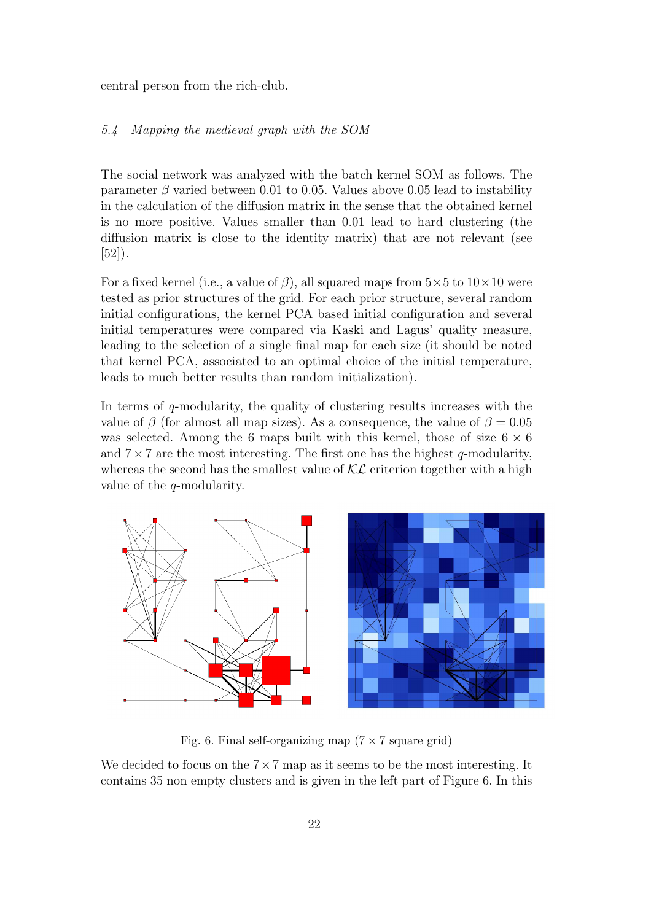central person from the rich-club.

#### 5.4 Mapping the medieval graph with the SOM

The social network was analyzed with the batch kernel SOM as follows. The parameter  $\beta$  varied between 0.01 to 0.05. Values above 0.05 lead to instability in the calculation of the diffusion matrix in the sense that the obtained kernel is no more positive. Values smaller than 0.01 lead to hard clustering (the diffusion matrix is close to the identity matrix) that are not relevant (see [52]).

For a fixed kernel (i.e., a value of  $\beta$ ), all squared maps from  $5 \times 5$  to  $10 \times 10$  were tested as prior structures of the grid. For each prior structure, several random initial configurations, the kernel PCA based initial configuration and several initial temperatures were compared via Kaski and Lagus' quality measure, leading to the selection of a single final map for each size (it should be noted that kernel PCA, associated to an optimal choice of the initial temperature, leads to much better results than random initialization).

In terms of q-modularity, the quality of clustering results increases with the value of  $\beta$  (for almost all map sizes). As a consequence, the value of  $\beta = 0.05$ was selected. Among the 6 maps built with this kernel, those of size  $6 \times 6$ and  $7 \times 7$  are the most interesting. The first one has the highest q-modularity, whereas the second has the smallest value of  $\mathcal{KL}$  criterion together with a high value of the q-modularity.



Fig. 6. Final self-organizing map ( $7 \times 7$  square grid)

We decided to focus on the  $7 \times 7$  map as it seems to be the most interesting. It contains 35 non empty clusters and is given in the left part of Figure 6. In this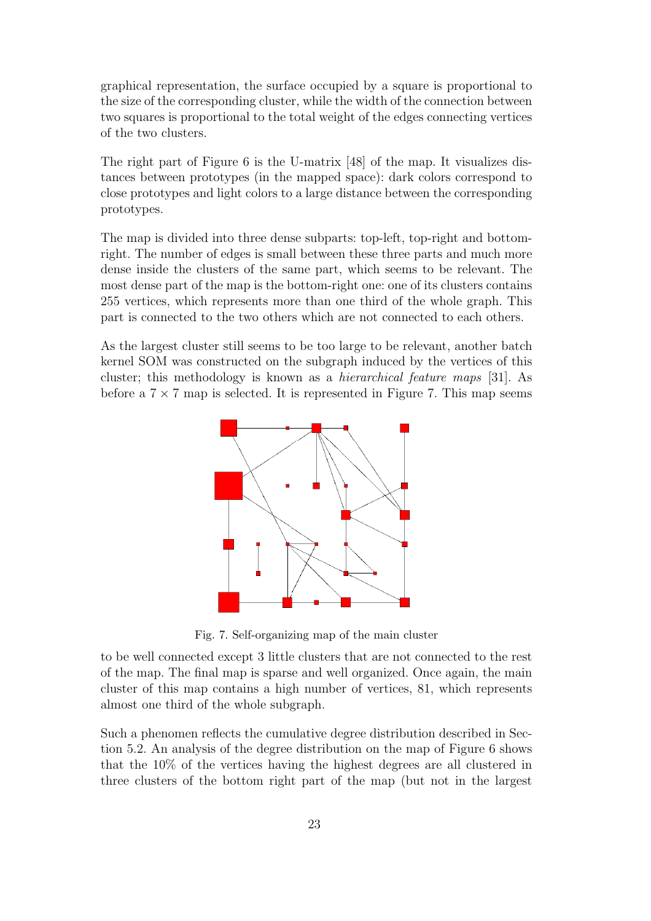graphical representation, the surface occupied by a square is proportional to the size of the corresponding cluster, while the width of the connection between two squares is proportional to the total weight of the edges connecting vertices of the two clusters.

The right part of Figure 6 is the U-matrix [48] of the map. It visualizes distances between prototypes (in the mapped space): dark colors correspond to close prototypes and light colors to a large distance between the corresponding prototypes.

The map is divided into three dense subparts: top-left, top-right and bottomright. The number of edges is small between these three parts and much more dense inside the clusters of the same part, which seems to be relevant. The most dense part of the map is the bottom-right one: one of its clusters contains 255 vertices, which represents more than one third of the whole graph. This part is connected to the two others which are not connected to each others.

As the largest cluster still seems to be too large to be relevant, another batch kernel SOM was constructed on the subgraph induced by the vertices of this cluster; this methodology is known as a hierarchical feature maps [31]. As before a  $7 \times 7$  map is selected. It is represented in Figure 7. This map seems



Fig. 7. Self-organizing map of the main cluster

to be well connected except 3 little clusters that are not connected to the rest of the map. The final map is sparse and well organized. Once again, the main cluster of this map contains a high number of vertices, 81, which represents almost one third of the whole subgraph.

Such a phenomen reflects the cumulative degree distribution described in Section 5.2. An analysis of the degree distribution on the map of Figure 6 shows that the 10% of the vertices having the highest degrees are all clustered in three clusters of the bottom right part of the map (but not in the largest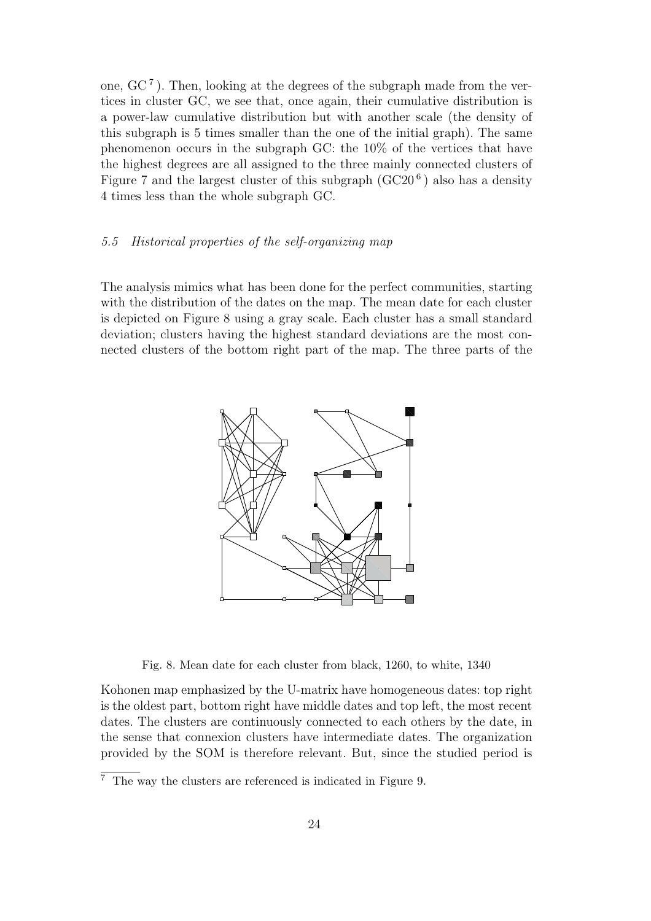one, GC <sup>7</sup> ). Then, looking at the degrees of the subgraph made from the vertices in cluster GC, we see that, once again, their cumulative distribution is a power-law cumulative distribution but with another scale (the density of this subgraph is 5 times smaller than the one of the initial graph). The same phenomenon occurs in the subgraph GC: the 10% of the vertices that have the highest degrees are all assigned to the three mainly connected clusters of Figure 7 and the largest cluster of this subgraph  $(GC20<sup>6</sup>)$  also has a density 4 times less than the whole subgraph GC.

#### 5.5 Historical properties of the self-organizing map

The analysis mimics what has been done for the perfect communities, starting with the distribution of the dates on the map. The mean date for each cluster is depicted on Figure 8 using a gray scale. Each cluster has a small standard deviation; clusters having the highest standard deviations are the most connected clusters of the bottom right part of the map. The three parts of the



Fig. 8. Mean date for each cluster from black, 1260, to white, 1340

Kohonen map emphasized by the U-matrix have homogeneous dates: top right is the oldest part, bottom right have middle dates and top left, the most recent dates. The clusters are continuously connected to each others by the date, in the sense that connexion clusters have intermediate dates. The organization provided by the SOM is therefore relevant. But, since the studied period is

<sup>7</sup> The way the clusters are referenced is indicated in Figure 9.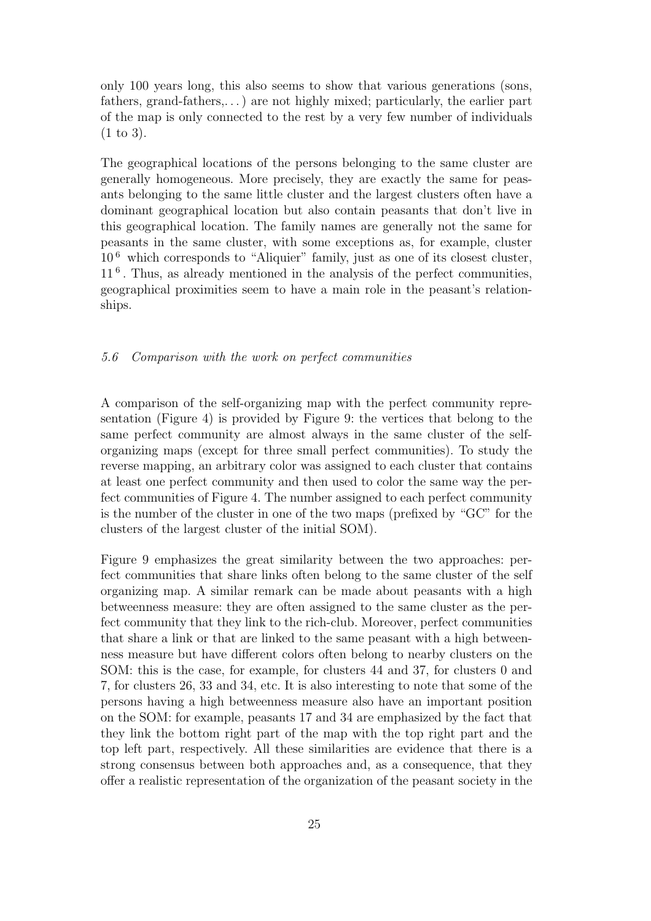only 100 years long, this also seems to show that various generations (sons, fathers, grand-fathers,. . . ) are not highly mixed; particularly, the earlier part of the map is only connected to the rest by a very few number of individuals (1 to 3).

The geographical locations of the persons belonging to the same cluster are generally homogeneous. More precisely, they are exactly the same for peasants belonging to the same little cluster and the largest clusters often have a dominant geographical location but also contain peasants that don't live in this geographical location. The family names are generally not the same for peasants in the same cluster, with some exceptions as, for example, cluster  $10^6$  which corresponds to "Aliquier" family, just as one of its closest cluster, 11<sup>6</sup>. Thus, as already mentioned in the analysis of the perfect communities, geographical proximities seem to have a main role in the peasant's relationships.

## 5.6 Comparison with the work on perfect communities

A comparison of the self-organizing map with the perfect community representation (Figure 4) is provided by Figure 9: the vertices that belong to the same perfect community are almost always in the same cluster of the selforganizing maps (except for three small perfect communities). To study the reverse mapping, an arbitrary color was assigned to each cluster that contains at least one perfect community and then used to color the same way the perfect communities of Figure 4. The number assigned to each perfect community is the number of the cluster in one of the two maps (prefixed by "GC" for the clusters of the largest cluster of the initial SOM).

Figure 9 emphasizes the great similarity between the two approaches: perfect communities that share links often belong to the same cluster of the self organizing map. A similar remark can be made about peasants with a high betweenness measure: they are often assigned to the same cluster as the perfect community that they link to the rich-club. Moreover, perfect communities that share a link or that are linked to the same peasant with a high betweenness measure but have different colors often belong to nearby clusters on the SOM: this is the case, for example, for clusters 44 and 37, for clusters 0 and 7, for clusters 26, 33 and 34, etc. It is also interesting to note that some of the persons having a high betweenness measure also have an important position on the SOM: for example, peasants 17 and 34 are emphasized by the fact that they link the bottom right part of the map with the top right part and the top left part, respectively. All these similarities are evidence that there is a strong consensus between both approaches and, as a consequence, that they offer a realistic representation of the organization of the peasant society in the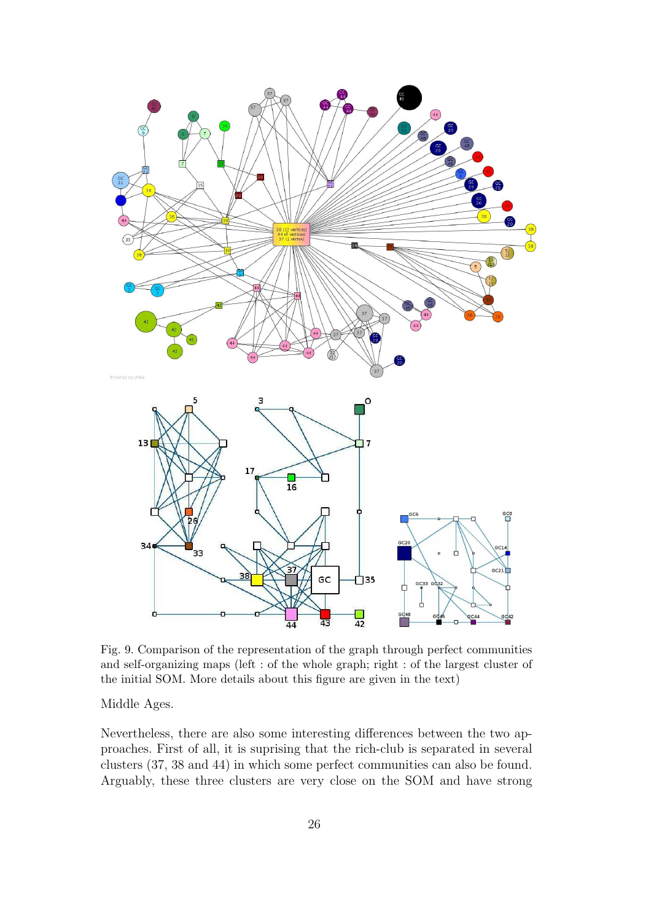

Fig. 9. Comparison of the representation of the graph through perfect communities and self-organizing maps (left : of the whole graph; right : of the largest cluster of the initial SOM. More details about this figure are given in the text)

Middle Ages.

Nevertheless, there are also some interesting differences between the two approaches. First of all, it is suprising that the rich-club is separated in several clusters (37, 38 and 44) in which some perfect communities can also be found. Arguably, these three clusters are very close on the SOM and have strong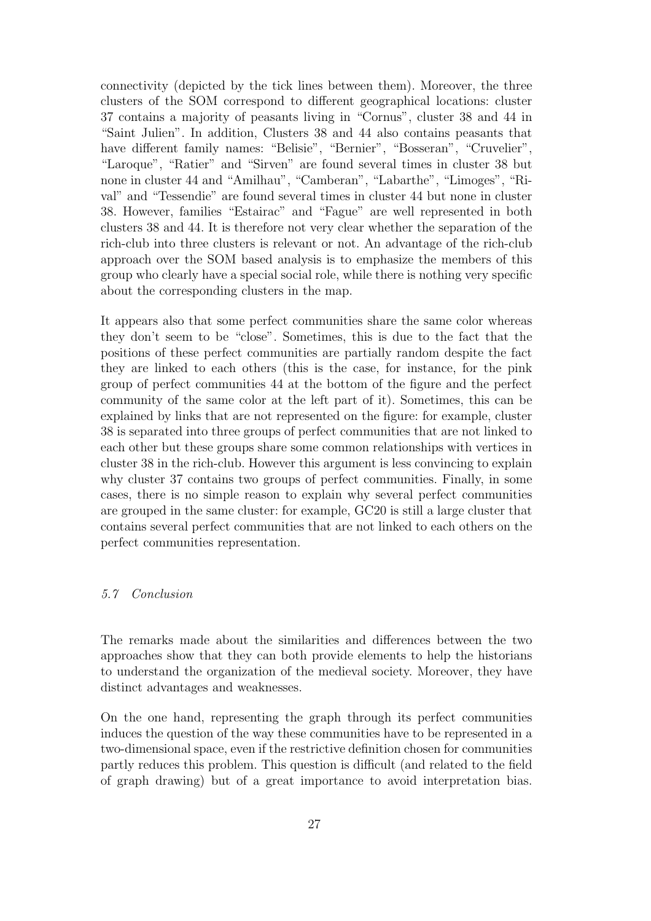connectivity (depicted by the tick lines between them). Moreover, the three clusters of the SOM correspond to different geographical locations: cluster 37 contains a majority of peasants living in "Cornus", cluster 38 and 44 in "Saint Julien". In addition, Clusters 38 and 44 also contains peasants that have different family names: "Belisie", "Bernier", "Bosseran", "Cruvelier", "Laroque", "Ratier" and "Sirven" are found several times in cluster 38 but none in cluster 44 and "Amilhau", "Camberan", "Labarthe", "Limoges", "Rival" and "Tessendie" are found several times in cluster 44 but none in cluster 38. However, families "Estairac" and "Fague" are well represented in both clusters 38 and 44. It is therefore not very clear whether the separation of the rich-club into three clusters is relevant or not. An advantage of the rich-club approach over the SOM based analysis is to emphasize the members of this group who clearly have a special social role, while there is nothing very specific about the corresponding clusters in the map.

It appears also that some perfect communities share the same color whereas they don't seem to be "close". Sometimes, this is due to the fact that the positions of these perfect communities are partially random despite the fact they are linked to each others (this is the case, for instance, for the pink group of perfect communities 44 at the bottom of the figure and the perfect community of the same color at the left part of it). Sometimes, this can be explained by links that are not represented on the figure: for example, cluster 38 is separated into three groups of perfect communities that are not linked to each other but these groups share some common relationships with vertices in cluster 38 in the rich-club. However this argument is less convincing to explain why cluster 37 contains two groups of perfect communities. Finally, in some cases, there is no simple reason to explain why several perfect communities are grouped in the same cluster: for example, GC20 is still a large cluster that contains several perfect communities that are not linked to each others on the perfect communities representation.

# 5.7 Conclusion

The remarks made about the similarities and differences between the two approaches show that they can both provide elements to help the historians to understand the organization of the medieval society. Moreover, they have distinct advantages and weaknesses.

On the one hand, representing the graph through its perfect communities induces the question of the way these communities have to be represented in a two-dimensional space, even if the restrictive definition chosen for communities partly reduces this problem. This question is difficult (and related to the field of graph drawing) but of a great importance to avoid interpretation bias.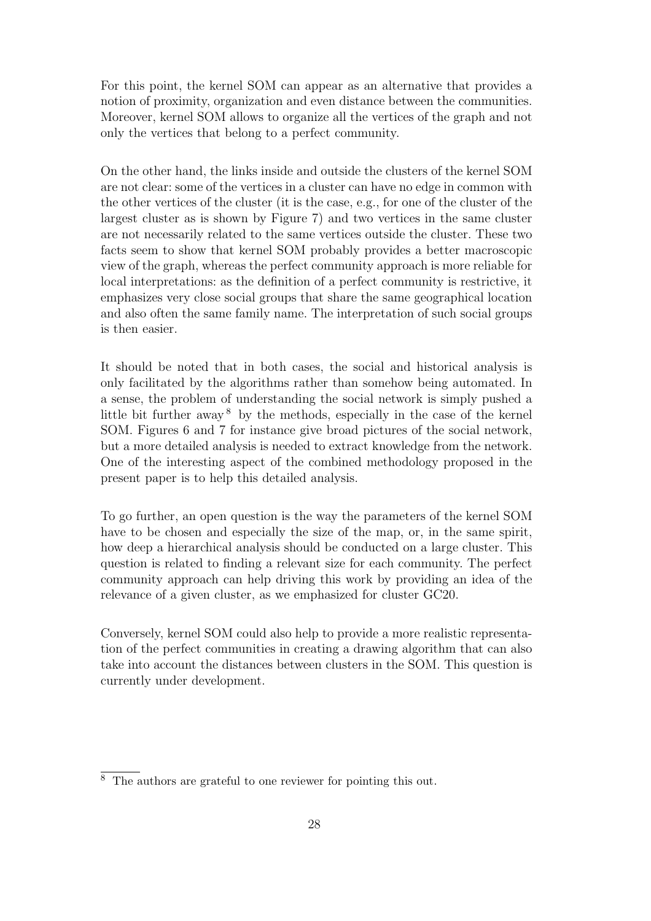For this point, the kernel SOM can appear as an alternative that provides a notion of proximity, organization and even distance between the communities. Moreover, kernel SOM allows to organize all the vertices of the graph and not only the vertices that belong to a perfect community.

On the other hand, the links inside and outside the clusters of the kernel SOM are not clear: some of the vertices in a cluster can have no edge in common with the other vertices of the cluster (it is the case, e.g., for one of the cluster of the largest cluster as is shown by Figure 7) and two vertices in the same cluster are not necessarily related to the same vertices outside the cluster. These two facts seem to show that kernel SOM probably provides a better macroscopic view of the graph, whereas the perfect community approach is more reliable for local interpretations: as the definition of a perfect community is restrictive, it emphasizes very close social groups that share the same geographical location and also often the same family name. The interpretation of such social groups is then easier.

It should be noted that in both cases, the social and historical analysis is only facilitated by the algorithms rather than somehow being automated. In a sense, the problem of understanding the social network is simply pushed a little bit further away  $8$  by the methods, especially in the case of the kernel SOM. Figures 6 and 7 for instance give broad pictures of the social network, but a more detailed analysis is needed to extract knowledge from the network. One of the interesting aspect of the combined methodology proposed in the present paper is to help this detailed analysis.

To go further, an open question is the way the parameters of the kernel SOM have to be chosen and especially the size of the map, or, in the same spirit, how deep a hierarchical analysis should be conducted on a large cluster. This question is related to finding a relevant size for each community. The perfect community approach can help driving this work by providing an idea of the relevance of a given cluster, as we emphasized for cluster GC20.

Conversely, kernel SOM could also help to provide a more realistic representation of the perfect communities in creating a drawing algorithm that can also take into account the distances between clusters in the SOM. This question is currently under development.

<sup>8</sup> The authors are grateful to one reviewer for pointing this out.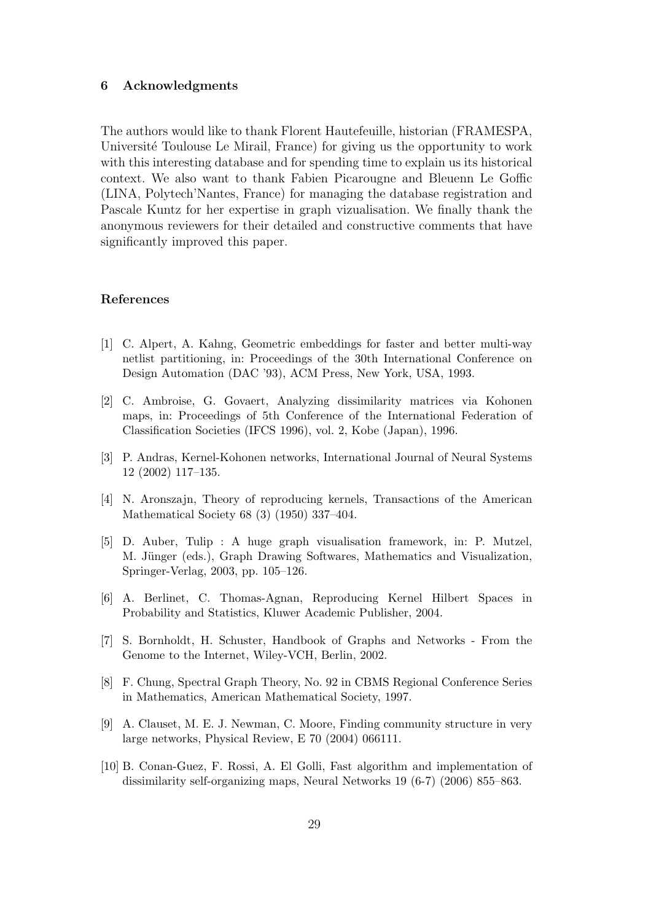#### 6 Acknowledgments

The authors would like to thank Florent Hautefeuille, historian (FRAMESPA, Université Toulouse Le Mirail, France) for giving us the opportunity to work with this interesting database and for spending time to explain us its historical context. We also want to thank Fabien Picarougne and Bleuenn Le Goffic (LINA, Polytech'Nantes, France) for managing the database registration and Pascale Kuntz for her expertise in graph vizualisation. We finally thank the anonymous reviewers for their detailed and constructive comments that have significantly improved this paper.

#### References

- [1] C. Alpert, A. Kahng, Geometric embeddings for faster and better multi-way netlist partitioning, in: Proceedings of the 30th International Conference on Design Automation (DAC '93), ACM Press, New York, USA, 1993.
- [2] C. Ambroise, G. Govaert, Analyzing dissimilarity matrices via Kohonen maps, in: Proceedings of 5th Conference of the International Federation of Classification Societies (IFCS 1996), vol. 2, Kobe (Japan), 1996.
- [3] P. Andras, Kernel-Kohonen networks, International Journal of Neural Systems 12 (2002) 117–135.
- [4] N. Aronszajn, Theory of reproducing kernels, Transactions of the American Mathematical Society 68 (3) (1950) 337–404.
- [5] D. Auber, Tulip : A huge graph visualisation framework, in: P. Mutzel, M. Jünger (eds.), Graph Drawing Softwares, Mathematics and Visualization, Springer-Verlag, 2003, pp. 105–126.
- [6] A. Berlinet, C. Thomas-Agnan, Reproducing Kernel Hilbert Spaces in Probability and Statistics, Kluwer Academic Publisher, 2004.
- [7] S. Bornholdt, H. Schuster, Handbook of Graphs and Networks From the Genome to the Internet, Wiley-VCH, Berlin, 2002.
- [8] F. Chung, Spectral Graph Theory, No. 92 in CBMS Regional Conference Series in Mathematics, American Mathematical Society, 1997.
- [9] A. Clauset, M. E. J. Newman, C. Moore, Finding community structure in very large networks, Physical Review, E 70 (2004) 066111.
- [10] B. Conan-Guez, F. Rossi, A. El Golli, Fast algorithm and implementation of dissimilarity self-organizing maps, Neural Networks 19 (6-7) (2006) 855–863.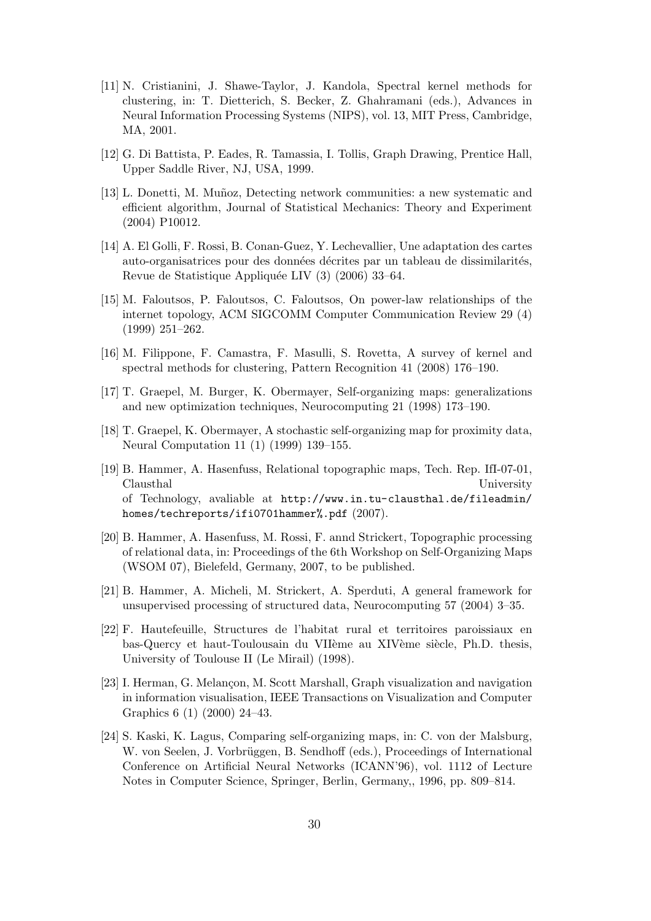- [11] N. Cristianini, J. Shawe-Taylor, J. Kandola, Spectral kernel methods for clustering, in: T. Dietterich, S. Becker, Z. Ghahramani (eds.), Advances in Neural Information Processing Systems (NIPS), vol. 13, MIT Press, Cambridge, MA, 2001.
- [12] G. Di Battista, P. Eades, R. Tamassia, I. Tollis, Graph Drawing, Prentice Hall, Upper Saddle River, NJ, USA, 1999.
- [13] L. Donetti, M. Muñoz, Detecting network communities: a new systematic and efficient algorithm, Journal of Statistical Mechanics: Theory and Experiment (2004) P10012.
- [14] A. El Golli, F. Rossi, B. Conan-Guez, Y. Lechevallier, Une adaptation des cartes auto-organisatrices pour des données décrites par un tableau de dissimilarités, Revue de Statistique Appliquée LIV (3) (2006) 33–64.
- [15] M. Faloutsos, P. Faloutsos, C. Faloutsos, On power-law relationships of the internet topology, ACM SIGCOMM Computer Communication Review 29 (4) (1999) 251–262.
- [16] M. Filippone, F. Camastra, F. Masulli, S. Rovetta, A survey of kernel and spectral methods for clustering, Pattern Recognition 41 (2008) 176–190.
- [17] T. Graepel, M. Burger, K. Obermayer, Self-organizing maps: generalizations and new optimization techniques, Neurocomputing 21 (1998) 173–190.
- [18] T. Graepel, K. Obermayer, A stochastic self-organizing map for proximity data, Neural Computation 11 (1) (1999) 139–155.
- [19] B. Hammer, A. Hasenfuss, Relational topographic maps, Tech. Rep. IfI-07-01, Clausthal University of Technology, avaliable at http://www.in.tu-clausthal.de/fileadmin/ homes/techreports/ifi0701hammer%.pdf (2007).
- [20] B. Hammer, A. Hasenfuss, M. Rossi, F. annd Strickert, Topographic processing of relational data, in: Proceedings of the 6th Workshop on Self-Organizing Maps (WSOM 07), Bielefeld, Germany, 2007, to be published.
- [21] B. Hammer, A. Micheli, M. Strickert, A. Sperduti, A general framework for unsupervised processing of structured data, Neurocomputing 57 (2004) 3–35.
- [22] F. Hautefeuille, Structures de l'habitat rural et territoires paroissiaux en bas-Quercy et haut-Toulousain du VIIème au XIVème siècle, Ph.D. thesis, University of Toulouse II (Le Mirail) (1998).
- [23] I. Herman, G. Melançon, M. Scott Marshall, Graph visualization and navigation in information visualisation, IEEE Transactions on Visualization and Computer Graphics 6 (1) (2000) 24–43.
- [24] S. Kaski, K. Lagus, Comparing self-organizing maps, in: C. von der Malsburg, W. von Seelen, J. Vorbrüggen, B. Sendhoff (eds.), Proceedings of International Conference on Artificial Neural Networks (ICANN'96), vol. 1112 of Lecture Notes in Computer Science, Springer, Berlin, Germany,, 1996, pp. 809–814.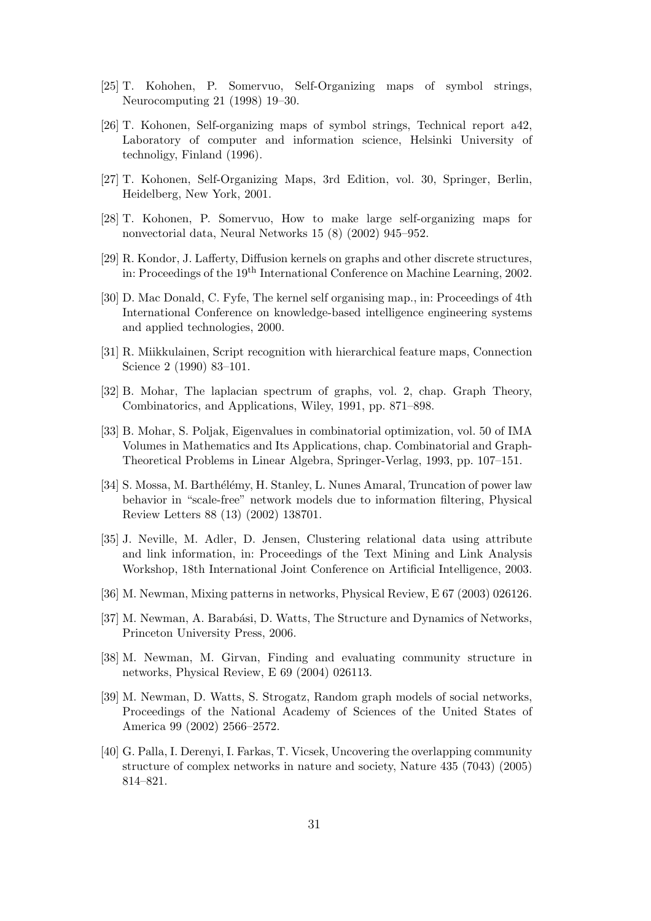- [25] T. Kohohen, P. Somervuo, Self-Organizing maps of symbol strings, Neurocomputing 21 (1998) 19–30.
- [26] T. Kohonen, Self-organizing maps of symbol strings, Technical report a42, Laboratory of computer and information science, Helsinki University of technoligy, Finland (1996).
- [27] T. Kohonen, Self-Organizing Maps, 3rd Edition, vol. 30, Springer, Berlin, Heidelberg, New York, 2001.
- [28] T. Kohonen, P. Somervuo, How to make large self-organizing maps for nonvectorial data, Neural Networks 15 (8) (2002) 945–952.
- [29] R. Kondor, J. Lafferty, Diffusion kernels on graphs and other discrete structures, in: Proceedings of the 19th International Conference on Machine Learning, 2002.
- [30] D. Mac Donald, C. Fyfe, The kernel self organising map., in: Proceedings of 4th International Conference on knowledge-based intelligence engineering systems and applied technologies, 2000.
- [31] R. Miikkulainen, Script recognition with hierarchical feature maps, Connection Science 2 (1990) 83–101.
- [32] B. Mohar, The laplacian spectrum of graphs, vol. 2, chap. Graph Theory, Combinatorics, and Applications, Wiley, 1991, pp. 871–898.
- [33] B. Mohar, S. Poljak, Eigenvalues in combinatorial optimization, vol. 50 of IMA Volumes in Mathematics and Its Applications, chap. Combinatorial and Graph-Theoretical Problems in Linear Algebra, Springer-Verlag, 1993, pp. 107–151.
- [34] S. Mossa, M. Barthélémy, H. Stanley, L. Nunes Amaral, Truncation of power law behavior in "scale-free" network models due to information filtering, Physical Review Letters 88 (13) (2002) 138701.
- [35] J. Neville, M. Adler, D. Jensen, Clustering relational data using attribute and link information, in: Proceedings of the Text Mining and Link Analysis Workshop, 18th International Joint Conference on Artificial Intelligence, 2003.
- [36] M. Newman, Mixing patterns in networks, Physical Review, E 67 (2003) 026126.
- [37] M. Newman, A. Barabási, D. Watts, The Structure and Dynamics of Networks, Princeton University Press, 2006.
- [38] M. Newman, M. Girvan, Finding and evaluating community structure in networks, Physical Review, E 69 (2004) 026113.
- [39] M. Newman, D. Watts, S. Strogatz, Random graph models of social networks, Proceedings of the National Academy of Sciences of the United States of America 99 (2002) 2566–2572.
- [40] G. Palla, I. Derenyi, I. Farkas, T. Vicsek, Uncovering the overlapping community structure of complex networks in nature and society, Nature 435 (7043) (2005) 814–821.